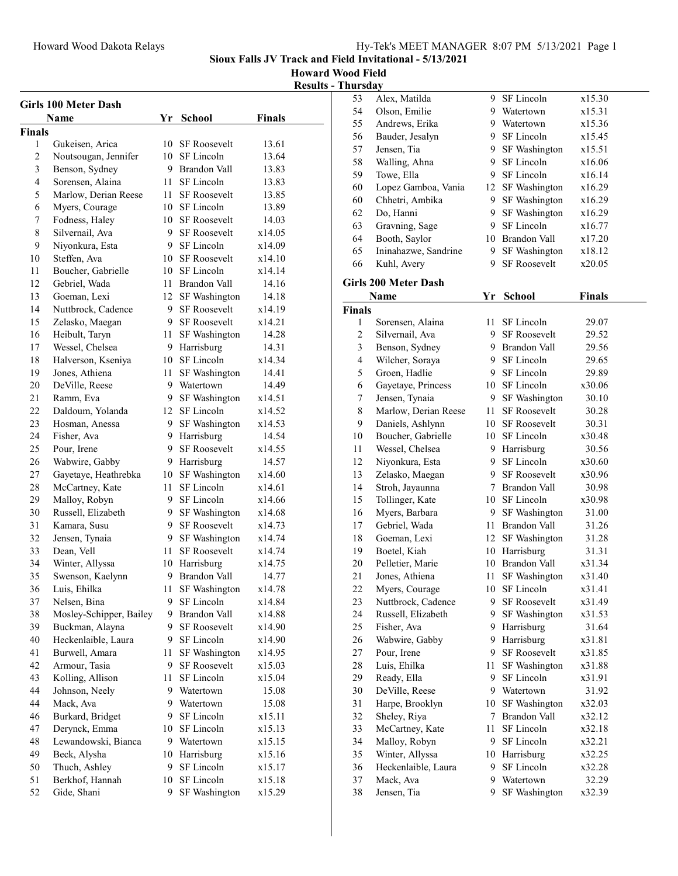Howard Wood Field

Results - Thursday

| <b>Girls 100 Meter Dash</b> |                         |         |                        |               |  |
|-----------------------------|-------------------------|---------|------------------------|---------------|--|
|                             | <b>Name</b>             | Yr      | <b>School</b>          | <b>Finals</b> |  |
| <b>Finals</b>               |                         |         |                        |               |  |
| 1                           | Gukeisen, Arica         | 10      | <b>SF</b> Roosevelt    | 13.61         |  |
| $\overline{2}$              | Noutsougan, Jennifer    |         | 10 SF Lincoln          | 13.64         |  |
| 3                           | Benson, Sydney          |         | 9 Brandon Vall         | 13.83         |  |
| 4                           | Sorensen, Alaina        | 11 -    | SF Lincoln             | 13.83         |  |
| 5                           | Marlow, Derian Reese    | 11.     | <b>SF Roosevelt</b>    | 13.85         |  |
| 6                           | Myers, Courage          |         | 10 SF Lincoln          | 13.89         |  |
| 7                           | Fodness, Haley          | 10      | <b>SF Roosevelt</b>    | 14.03         |  |
| 8                           | Silvernail, Ava         |         | 9 SF Roosevelt         | x14.05        |  |
| 9                           | Niyonkura, Esta         |         | 9 SF Lincoln           | x14.09        |  |
| 10                          | Steffen, Ava            |         | 10 SF Roosevelt        | x14.10        |  |
| 11                          | Boucher, Gabrielle      |         | 10 SF Lincoln          | x14.14        |  |
| 12                          | Gebriel, Wada           | 11      | Brandon Vall           | 14.16         |  |
| 13                          | Goeman, Lexi            | 12      | SF Washington          | 14.18         |  |
| 14                          | Nuttbrock, Cadence      |         | 9 SF Roosevelt         | x14.19        |  |
| 15                          | Zelasko, Maegan         |         | 9 SF Roosevelt         | x14.21        |  |
| 16                          | Heibult, Taryn          | 11 -    | SF Washington          | 14.28         |  |
| 17                          | Wessel, Chelsea         | 9.      | Harrisburg             | 14.31         |  |
| 18                          | Halverson, Kseniya      | 10      | SF Lincoln             | x14.34        |  |
| 19                          | Jones, Athiena          | 11      | SF Washington          | 14.41         |  |
| 20                          | DeVille, Reese          | 9.      | Watertown              | 14.49         |  |
| 21                          | Ramm, Eva               |         | 9 SF Washington        | x14.51        |  |
| 22                          | Daldoum, Yolanda        |         | 12 SF Lincoln          | x14.52        |  |
| 23                          | Hosman, Anessa          |         | 9 SF Washington        | x14.53        |  |
| 24                          | Fisher, Ava             |         | 9 Harrisburg           | 14.54         |  |
| 25                          | Pour, Irene             | 9       | <b>SF Roosevelt</b>    | x14.55        |  |
| 26                          | Wabwire, Gabby          |         | 9 Harrisburg           | 14.57         |  |
| 27                          | Gayetaye, Heathrebka    | 10      | SF Washington          | x14.60        |  |
| 28                          | McCartney, Kate         | 11      | SF Lincoln             | x14.61        |  |
| 29                          | Malloy, Robyn           | 9.      | SF Lincoln             | x14.66        |  |
| 30                          | Russell, Elizabeth      | 9.      | SF Washington          | x14.68        |  |
| 31                          | Kamara, Susu            | 9.      | <b>SF Roosevelt</b>    | x14.73        |  |
| 32                          | Jensen, Tynaia          | 9.      | SF Washington          | x14.74        |  |
| 33                          | Dean, Vell              | 11.     | <b>SF Roosevelt</b>    | x14.74        |  |
| 34                          | Winter, Allyssa         |         | 10 Harrisburg          | x14.75        |  |
| 35                          | Swenson, Kaelynn        | 9       | <b>Brandon Vall</b>    | 14.77         |  |
| 36                          | Luis, Ehilka            | 11      | SF Washington          | x14.78        |  |
| 37                          | Nelsen, Bina            | 9       | SF Lincoln             | x14.84        |  |
| 38                          | Mosley-Schipper, Bailey | 9       | Brandon Vall           | x14.88        |  |
| 39                          | Buckman, Alayna         | 9       | SF Roosevelt           | x14.90        |  |
| 40                          | Heckenlaible, Laura     | 9.      | SF Lincoln             | x14.90        |  |
| 41                          | Burwell, Amara          | 11      | SF Washington          | x14.95        |  |
| 42                          | Armour, Tasia           | 9       | SF Roosevelt           | x15.03        |  |
| 43                          | Kolling, Allison        |         |                        | x15.04        |  |
| 44                          | Johnson, Neely          | 11<br>9 | SF Lincoln             |               |  |
| 44                          |                         | 9       | Watertown<br>Watertown | 15.08         |  |
|                             | Mack, Ava               |         |                        | 15.08         |  |
| 46                          | Burkard, Bridget        | 9.      | SF Lincoln             | x15.11        |  |
| 47                          | Derynck, Emma           | 10      | SF Lincoln             | x15.13        |  |
| 48                          | Lewandowski, Bianca     | 9.      | Watertown              | x15.15        |  |
| 49                          | Beck, Alysha            | 10      | Harrisburg             | x15.16        |  |
| 50                          | Thuch, Ashley           | 9       | SF Lincoln             | x15.17        |  |
| 51                          | Berkhof, Hannah         | 10      | SF Lincoln             | x15.18        |  |
| 52                          | Gide, Shani             | 9       | SF Washington          | x15.29        |  |

| 53             | Alex, Matilda               | 9.  | SF Lincoln          | x15.30 |  |
|----------------|-----------------------------|-----|---------------------|--------|--|
| 54             | Olson, Emilie               |     | 9 Watertown         | x15.31 |  |
| 55             | Andrews, Erika              |     | 9 Watertown         | x15.36 |  |
| 56             | Bauder, Jesalyn             |     | 9 SF Lincoln        | x15.45 |  |
| 57             | Jensen, Tia                 | 9   | SF Washington       | x15.51 |  |
| 58             | Walling, Ahna               | 9   | SF Lincoln          | x16.06 |  |
| 59             | Towe, Ella                  |     | 9 SF Lincoln        | x16.14 |  |
| 60             | Lopez Gamboa, Vania         | 12  | SF Washington       | x16.29 |  |
| 60             | Chhetri, Ambika             | 9.  | SF Washington       | x16.29 |  |
| 62             | Do, Hanni                   | 9   | SF Washington       | x16.29 |  |
| 63             | Gravning, Sage              | 9.  | SF Lincoln          | x16.77 |  |
| 64             | Booth, Saylor               | 10  | Brandon Vall        | x17.20 |  |
| 65             | Ininahazwe, Sandrine        | 9.  | SF Washington       | x18.12 |  |
| 66             | Kuhl, Avery                 | 9   | <b>SF Roosevelt</b> | x20.05 |  |
|                | <b>Girls 200 Meter Dash</b> |     |                     |        |  |
|                | Name                        | Yr  | School              | Finals |  |
| <b>Finals</b>  |                             |     |                     |        |  |
| 1              | Sorensen, Alaina            | 11. | SF Lincoln          | 29.07  |  |
| $\overline{c}$ | Silvernail, Ava             |     | 9 SF Roosevelt      | 29.52  |  |
| 3              | Benson, Sydney              |     | 9 Brandon Vall      | 29.56  |  |
| 4              | Wilcher, Soraya             |     | 9 SF Lincoln        | 29.65  |  |
| 5              | Groen, Hadlie               |     | 9 SF Lincoln        | 29.89  |  |
| 6              | Gayetaye, Princess          |     | 10 SF Lincoln       | x30.06 |  |
| 7              | Jensen, Tynaia              | 9.  | SF Washington       | 30.10  |  |
| $\,$ $\,$      | Marlow, Derian Reese        | 11  | <b>SF Roosevelt</b> | 30.28  |  |
| 9              | Daniels, Ashlynn            | 10  | <b>SF Roosevelt</b> | 30.31  |  |
| 10             | Boucher, Gabrielle          | 10  | SF Lincoln          | x30.48 |  |
| 11             | Wessel, Chelsea             | 9.  | Harrisburg          | 30.56  |  |
| 12             | Niyonkura, Esta             | 9   | SF Lincoln          | x30.60 |  |
| 13             | Zelasko, Maegan             |     | 9 SF Roosevelt      | x30.96 |  |
| 14             | Stroh, Jayaunna             | 7   | Brandon Vall        | 30.98  |  |
| 15             | Tollinger, Kate             | 10  | SF Lincoln          | x30.98 |  |
| 16             | Myers, Barbara              |     | 9 SF Washington     | 31.00  |  |
| 17             | Gebriel, Wada               | 11  | <b>Brandon Vall</b> | 31.26  |  |
| 18             | Goeman, Lexi                | 12  | SF Washington       | 31.28  |  |
| 19             | Boetel, Kiah                |     | 10 Harrisburg       | 31.31  |  |
| 20             | Pelletier, Marie            | 10  | <b>Brandon Vall</b> | x31.34 |  |
| 21             | Jones, Athiena              | 11  | SF Washington       | x31.40 |  |
| 22             | Myers, Courage              | 10  | SF Lincoln          | x31.41 |  |
| 23             | Nuttbrock, Cadence          | 9.  | <b>SF Roosevelt</b> | x31.49 |  |
| 24             | Russell, Elizabeth          | 9   | SF Washington       | x31.53 |  |
| 25             | Fisher, Ava                 | 9   | Harrisburg          | 31.64  |  |
| 26             | Wabwire, Gabby              | 9   | Harrisburg          | x31.81 |  |
| 27             | Pour, Irene                 | 9   | <b>SF Roosevelt</b> | x31.85 |  |
| 28             | Luis, Ehilka                | 11  | SF Washington       | x31.88 |  |
| 29             | Ready, Ella                 | 9   | SF Lincoln          | x31.91 |  |
| 30             | DeVille, Reese              | 9.  | Watertown           | 31.92  |  |
| 31             | Harpe, Brooklyn             | 10  | SF Washington       | x32.03 |  |
| 32             | Sheley, Riya                | 7   | Brandon Vall        | x32.12 |  |
| 33             | McCartney, Kate             | 11  | SF Lincoln          | x32.18 |  |
| 34             | Malloy, Robyn               | 9   | SF Lincoln          | x32.21 |  |
| 35             | Winter, Allyssa             | 10  | Harrisburg          | x32.25 |  |
| 36             | Heckenlaible, Laura         | 9.  | SF Lincoln          | x32.28 |  |
| 37             | Mack, Ava                   | 9   | Watertown           | 32.29  |  |
| 38             | Jensen, Tia                 | 9   | SF Washington       | x32.39 |  |
|                |                             |     |                     |        |  |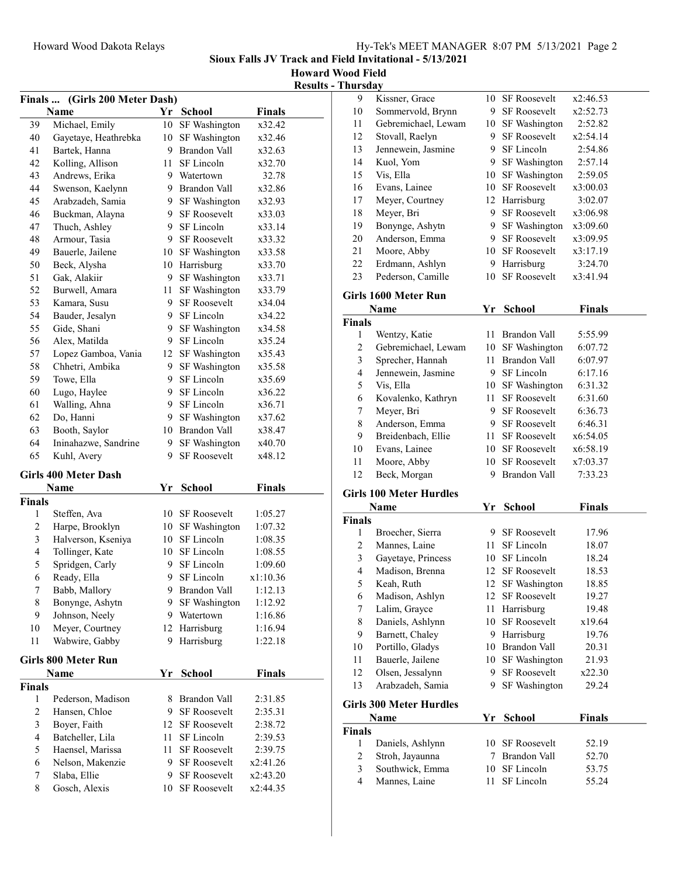Sioux Falls JV Track and Field Invitational - 5/13/2021

Howard Wood Field Results - Thursday

|                | Finals  (Girls 200 Meter Dash) |    |                     |               |  |
|----------------|--------------------------------|----|---------------------|---------------|--|
|                | Name                           |    | Yr School           | <b>Finals</b> |  |
| 39             | Michael, Emily                 | 10 | SF Washington       | x32.42        |  |
| 40             | Gayetaye, Heathrebka           |    | 10 SF Washington    | x32.46        |  |
| 41             | Bartek, Hanna                  |    | 9 Brandon Vall      | x32.63        |  |
| 42             | Kolling, Allison               |    | 11 SF Lincoln       | x32.70        |  |
| 43             | Andrews, Erika                 |    | 9 Watertown         | 32.78         |  |
| 44             | Swenson, Kaelynn               |    | 9 Brandon Vall      | x32.86        |  |
| 45             | Arabzadeh, Samia               |    | 9 SF Washington     | x32.93        |  |
| 46             | Buckman, Alayna                |    | 9 SF Roosevelt      | x33.03        |  |
| 47             | Thuch, Ashley                  | 9. | SF Lincoln          | x33.14        |  |
| 48             | Armour, Tasia                  |    | 9 SF Roosevelt      | x33.32        |  |
| 49             | Bauerle, Jailene               |    | 10 SF Washington    | x33.58        |  |
| 50             | Beck, Alysha                   |    | 10 Harrisburg       | x33.70        |  |
| 51             | Gak, Alakiir                   |    | 9 SF Washington     | x33.71        |  |
| 52             | Burwell, Amara                 |    | 11 SF Washington    | x33.79        |  |
| 53             | Kamara, Susu                   |    | 9 SF Roosevelt      | x34.04        |  |
| 54             | Bauder, Jesalyn                |    | 9 SF Lincoln        | x34.22        |  |
| 55             | Gide, Shani                    |    | 9 SF Washington     | x34.58        |  |
| 56             | Alex, Matilda                  |    | 9 SF Lincoln        | x35.24        |  |
| 57             | Lopez Gamboa, Vania            |    | 12 SF Washington    | x35.43        |  |
| 58             | Chhetri, Ambika                | 9. | SF Washington       | x35.58        |  |
| 59             |                                | 9. | SF Lincoln          | x35.69        |  |
|                | Towe, Ella                     |    |                     |               |  |
| 60             | Lugo, Haylee                   |    | 9 SF Lincoln        | x36.22        |  |
| 61             | Walling, Ahna                  |    | 9 SF Lincoln        | x36.71        |  |
| 62             | Do, Hanni                      |    | 9 SF Washington     | x37.62        |  |
| 63             | Booth, Saylor                  |    | 10 Brandon Vall     | x38.47        |  |
| 64             | Ininahazwe, Sandrine           |    | 9 SF Washington     | x40.70        |  |
| 65             | Kuhl, Avery                    |    | 9 SF Roosevelt      | x48.12        |  |
|                | <b>Girls 400 Meter Dash</b>    |    |                     |               |  |
|                | Name                           | Yr | <b>School</b>       | Finals        |  |
| Finals         |                                |    |                     |               |  |
| 1              | Steffen, Ava                   |    | 10 SF Roosevelt     | 1:05.27       |  |
| $\mathfrak{2}$ | Harpe, Brooklyn                |    | 10 SF Washington    | 1:07.32       |  |
| 3              | Halverson, Kseniya             |    | 10 SF Lincoln       | 1:08.35       |  |
| 4              | Tollinger, Kate                |    | 10 SF Lincoln       | 1:08.55       |  |
| 5              | Spridgen, Carly                | 9. | SF Lincoln          | 1:09.60       |  |
| 6              | Ready, Ella                    | 9. | SF Lincoln          | x1:10.36      |  |
| Τ              | Babb, Mallory                  | 9. | Brandon Vall        | 1:12.13       |  |
| 8              | Bonynge, Ashytn                | 9. | SF Washington       | 1:12.92       |  |
| 9              | Johnson, Neely                 |    | 9 Watertown         | 1:16.86       |  |
| 10             | Meyer, Courtney                |    | 12 Harrisburg       | 1:16.94       |  |
| 11             | Wabwire, Gabby                 | 9  | Harrisburg          | 1:22.18       |  |
|                |                                |    |                     |               |  |
|                | Girls 800 Meter Run            |    |                     |               |  |
|                | Name                           | Yr | <b>School</b>       | <b>Finals</b> |  |
| Finals         |                                |    |                     |               |  |
| 1              | Pederson, Madison              | 8  | Brandon Vall        | 2:31.85       |  |
| $\mathfrak{2}$ | Hansen, Chloe                  | 9  | <b>SF Roosevelt</b> | 2:35.31       |  |
| $\mathfrak{Z}$ | Boyer, Faith                   | 12 | <b>SF Roosevelt</b> | 2:38.72       |  |
| 4              | Batcheller, Lila               | 11 | SF Lincoln          | 2:39.53       |  |
| 5              | Haensel, Marissa               | 11 | <b>SF Roosevelt</b> | 2:39.75       |  |
| 6              | Nelson, Makenzie               | 9  | SF Roosevelt        | x2:41.26      |  |
| 7              | Slaba, Ellie                   | 9. | SF Roosevelt        | x2:43.20      |  |
| 8              | Gosch, Alexis                  | 10 | SF Roosevelt        | x2:44.35      |  |

| 9                  | Kissner, Grace                  |      | 10 SF Roosevelt                         | x2:46.53           |  |
|--------------------|---------------------------------|------|-----------------------------------------|--------------------|--|
| 10                 | Sommervold, Brynn               |      | 9 SF Roosevelt                          | x2:52.73           |  |
| 11                 | Gebremichael, Lewam             |      | 10 SF Washington                        | 2:52.82            |  |
| 12                 | Stovall, Raelyn                 |      | 9 SF Roosevelt                          | x2:54.14           |  |
| 13                 | Jennewein, Jasmine              |      | 9 SF Lincoln                            | 2:54.86            |  |
| 14                 | Kuol, Yom                       | 9.   | SF Washington                           | 2:57.14            |  |
| 15                 | Vis, Ella                       | 10   | SF Washington                           | 2:59.05            |  |
| 16                 | Evans, Lainee                   |      | 10 SF Roosevelt                         | x3:00.03           |  |
| 17                 | Meyer, Courtney                 |      | 12 Harrisburg                           | 3:02.07            |  |
| 18                 | Meyer, Bri                      | 9    | <b>SF Roosevelt</b>                     | x3:06.98           |  |
| 19                 | Bonynge, Ashytn                 |      | 9 SF Washington                         | x3:09.60           |  |
| 20                 | Anderson, Emma                  |      | 9 SF Roosevelt                          | x3:09.95           |  |
| 21                 | Moore, Abby                     |      | 10 SF Roosevelt                         | x3:17.19           |  |
| 22                 | Erdmann, Ashlyn                 |      | 9 Harrisburg                            | 3:24.70            |  |
| 23                 | Pederson, Camille               | 10   | <b>SF Roosevelt</b>                     | x3:41.94           |  |
|                    | Girls 1600 Meter Run            |      |                                         |                    |  |
|                    | Name                            | Yr   | <b>School</b>                           | <b>Finals</b>      |  |
| <b>Finals</b>      |                                 |      |                                         |                    |  |
| 1                  | Wentzy, Katie                   |      | 11 Brandon Vall                         | 5:55.99            |  |
| 2                  | Gebremichael, Lewam             |      | 10 SF Washington<br>11 Brandon Vall     | 6:07.72            |  |
| 3                  | Sprecher, Hannah                |      |                                         | 6:07.97<br>6:17.16 |  |
| 4                  | Jennewein, Jasmine<br>Vis, Ella |      | 9 SF Lincoln                            | 6:31.32            |  |
| 5<br>6             | Kovalenko, Kathryn              | 11 - | 10 SF Washington<br><b>SF Roosevelt</b> | 6:31.60            |  |
| 7                  | Meyer, Bri                      |      | 9 SF Roosevelt                          | 6:36.73            |  |
| $\,$ $\,$          | Anderson, Emma                  |      | 9 SF Roosevelt                          | 6:46.31            |  |
| 9                  | Breidenbach, Ellie              |      | 11 SF Roosevelt                         | x6:54.05           |  |
| 10                 | Evans, Lainee                   |      | 10 SF Roosevelt                         | x6:58.19           |  |
| 11                 | Moore, Abby                     |      | 10 SF Roosevelt                         | x7:03.37           |  |
| 12                 | Beck, Morgan                    | 9    | Brandon Vall                            | 7:33.23            |  |
|                    | <b>Girls 100 Meter Hurdles</b>  |      |                                         |                    |  |
|                    | Name                            | Yr   | School                                  | <b>Finals</b>      |  |
| <b>Finals</b>      |                                 |      |                                         |                    |  |
| 1                  | Broecher, Sierra                |      | 9 SF Roosevelt                          | 17.96              |  |
| 2                  | Mannes, Laine                   | 11   | SF Lincoln                              | 18.07              |  |
| 3                  | Gayetaye, Princess              |      | 10 SF Lincoln                           | 18.24              |  |
| 4                  | Madison, Brenna                 | 12   | <b>SF Roosevelt</b>                     | 18.53              |  |
| 5                  | Keah, Ruth                      | 12   | SF Washington                           | 18.85              |  |
| 6                  | Madison, Ashlyn                 | 12   | SF Roosevelt                            | 19.27              |  |
| 7                  | Lalim, Grayce                   | 11   | Harrisburg                              | 19.48              |  |
| 8                  | Daniels, Ashlynn                | 10   | SF Roosevelt                            | x19.64             |  |
| 9                  | Barnett, Chaley                 |      | 9 Harrisburg                            | 19.76              |  |
| 10                 | Portillo, Gladys                |      | 10 Brandon Vall                         | 20.31              |  |
| 11                 | Bauerle, Jailene                | 10   | SF Washington                           | 21.93              |  |
| 12                 | Olsen, Jessalynn                | 9.   | SF Roosevelt                            | x22.30             |  |
| 13                 | Arabzadeh, Samia                | 9    | SF Washington                           | 29.24              |  |
|                    | <b>Girls 300 Meter Hurdles</b>  |      |                                         |                    |  |
|                    | Name                            | Yr   | School                                  | Finals             |  |
| <b>Finals</b><br>1 | Daniels, Ashlynn                | 10   | SF Roosevelt                            | 52.19              |  |
| 2                  | Stroh, Jayaunna                 | 7    | Brandon Vall                            | 52.70              |  |
| 3                  | Southwick, Emma                 | 10   | SF Lincoln                              | 53.75              |  |
| $\overline{4}$     | Mannes, Laine                   | 11   | SF Lincoln                              | 55.24              |  |
|                    |                                 |      |                                         |                    |  |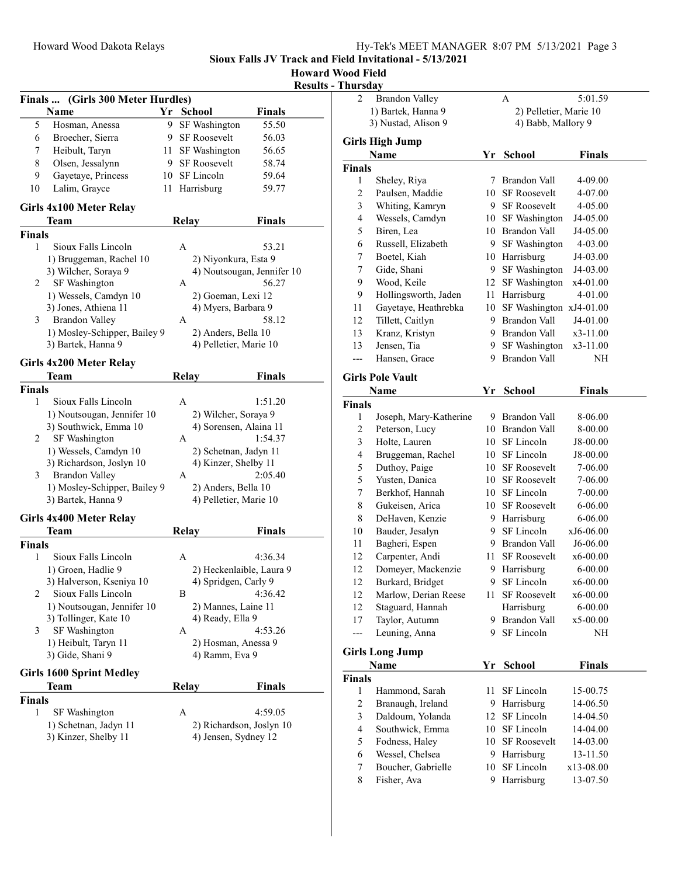### Howard Wood Field ilts - Thursday

|               |                                   |    |                          | <b>Results</b>             |
|---------------|-----------------------------------|----|--------------------------|----------------------------|
|               | Finals  (Girls 300 Meter Hurdles) |    |                          |                            |
|               | Name                              |    | Yr School                | <b>Finals</b>              |
| 5             | Hosman, Anessa                    | 9. | SF Washington            | 55.50                      |
| 6             | Broecher, Sierra                  |    | 9 SF Roosevelt           | 56.03                      |
| 7             | Heibult, Taryn                    |    | 11 SF Washington         | 56.65                      |
| 8             | Olsen, Jessalynn                  |    | 9 SF Roosevelt           | 58.74                      |
| 9             | Gayetaye, Princess                |    | 10 SF Lincoln            | 59.64                      |
| 10            | Lalim, Grayce                     |    | 11 Harrisburg            | 59.77                      |
|               | Girls 4x100 Meter Relay           |    |                          |                            |
|               | Team                              |    | <b>Relay</b>             | <b>Finals</b>              |
| <b>Finals</b> |                                   |    |                          |                            |
| 1             | Sioux Falls Lincoln               |    | A                        | 53.21                      |
|               | 1) Bruggeman, Rachel 10           |    | 2) Niyonkura, Esta 9     |                            |
|               | 3) Wilcher, Soraya 9              |    |                          | 4) Noutsougan, Jennifer 10 |
| 2             | SF Washington                     |    | A                        | 56.27                      |
|               | 1) Wessels, Camdyn 10             |    | 2) Goeman, Lexi 12       |                            |
|               | 3) Jones, Athiena 11              |    | 4) Myers, Barbara 9      |                            |
| 3             | <b>Brandon Valley</b>             |    | A                        | 58.12                      |
|               | 1) Mosley-Schipper, Bailey 9      |    | 2) Anders, Bella 10      |                            |
|               | 3) Bartek, Hanna 9                |    | 4) Pelletier, Marie 10   |                            |
|               |                                   |    |                          |                            |
|               | Girls 4x200 Meter Relay           |    |                          |                            |
|               | Team                              |    | <b>Relay</b>             | <b>Finals</b>              |
| <b>Finals</b> |                                   |    |                          |                            |
| 1             | Sioux Falls Lincoln               |    | A                        | 1:51.20                    |
|               | 1) Noutsougan, Jennifer 10        |    | 2) Wilcher, Soraya 9     |                            |
|               | 3) Southwick, Emma 10             |    | 4) Sorensen, Alaina 11   |                            |
| 2             | SF Washington                     |    | А                        | 1:54.37                    |
|               | 1) Wessels, Camdyn 10             |    | 2) Schetnan, Jadyn 11    |                            |
|               | 3) Richardson, Joslyn 10          |    | 4) Kinzer, Shelby 11     |                            |
| 3             | <b>Brandon Valley</b>             |    | А                        | 2:05.40                    |
|               | 1) Mosley-Schipper, Bailey 9      |    | 2) Anders, Bella 10      |                            |
|               | 3) Bartek, Hanna 9                |    | 4) Pelletier, Marie 10   |                            |
|               | Girls 4x400 Meter Relay           |    |                          |                            |
|               | Team                              |    | <b>Relay</b>             | <b>Finals</b>              |
| <b>Finals</b> |                                   |    |                          |                            |
| 1             | Sioux Falls Lincoln               |    | A                        | 4:36.34                    |
|               | 1) Groen, Hadlie 9                |    | 2) Heckenlaible, Laura 9 |                            |
|               | 3) Halverson, Kseniya 10          |    | 4) Spridgen, Carly 9     |                            |
| 2             | Sioux Falls Lincoln               |    | В                        | 4:36.42                    |
|               | 1) Noutsougan, Jennifer 10        |    | 2) Mannes, Laine 11      |                            |
|               | 3) Tollinger, Kate 10             |    | 4) Ready, Ella 9         |                            |
| 3             | SF Washington                     |    | А                        | 4:53.26                    |
|               | 1) Heibult, Taryn 11              |    | 2) Hosman, Anessa 9      |                            |
|               | 3) Gide, Shani 9                  |    | 4) Ramm, Eva 9           |                            |
|               |                                   |    |                          |                            |
|               | <b>Girls 1600 Sprint Medley</b>   |    |                          |                            |
|               | Team                              |    | <b>Relay</b>             | <b>Finals</b>              |
| <b>Finals</b> |                                   |    |                          |                            |
| 1             | SF Washington                     |    | А                        | 4:59.05                    |
|               | 1) Schetnan, Jadyn 11             |    | 2) Richardson, Joslyn 10 |                            |
|               | 3) Kinzer, Shelby 11              |    | 4) Jensen, Sydney 12     |                            |
|               |                                   |    |                          |                            |
|               |                                   |    |                          |                            |

| nui sua y          |                         |                        |                     |               |  |
|--------------------|-------------------------|------------------------|---------------------|---------------|--|
| 2                  | <b>Brandon Valley</b>   |                        | A                   | 5:01.59       |  |
| 1) Bartek, Hanna 9 |                         | 2) Pelletier, Marie 10 |                     |               |  |
|                    | 3) Nustad, Alison 9     |                        | 4) Babb, Mallory 9  |               |  |
|                    | <b>Girls High Jump</b>  |                        |                     |               |  |
|                    | <b>Name</b>             | Yr                     | School              | <b>Finals</b> |  |
| <b>Finals</b>      |                         |                        |                     |               |  |
| 1                  | Sheley, Riya            | 7                      | Brandon Vall        | 4-09.00       |  |
| 2                  | Paulsen, Maddie         | 10                     | <b>SF Roosevelt</b> | 4-07.00       |  |
| 3                  | Whiting, Kamryn         | 9.                     | <b>SF</b> Roosevelt | 4-05.00       |  |
| 4                  | Wessels, Camdyn         | 10                     | SF Washington       | J4-05.00      |  |
| 5                  | Biren, Lea              | 10                     | <b>Brandon Vall</b> | J4-05.00      |  |
| 6                  | Russell, Elizabeth      | 9                      | SF Washington       | 4-03.00       |  |
| 7                  | Boetel, Kiah            | 10                     | Harrisburg          | J4-03.00      |  |
| 7                  | Gide, Shani             | 9                      | SF Washington       | J4-03.00      |  |
| 9                  | Wood, Keile             | 12                     | SF Washington       | x4-01.00      |  |
| 9                  | Hollingsworth, Jaden    | 11                     | Harrisburg          | 4-01.00       |  |
| 11                 | Gayetaye, Heathrebka    | 10                     | SF Washington       | xJ4-01.00     |  |
| 12                 | Tillett, Caitlyn        | 9                      | Brandon Vall        | J4-01.00      |  |
| 13                 | Kranz, Kristyn          | 9                      | Brandon Vall        | x3-11.00      |  |
| 13                 | Jensen, Tia             | 9                      | SF Washington       | x3-11.00      |  |
| ---                | Hansen, Grace           | 9                      | <b>Brandon Vall</b> | NΗ            |  |
|                    | <b>Girls Pole Vault</b> |                        |                     |               |  |
|                    | Name                    | Yr                     | <b>School</b>       | <b>Finals</b> |  |
| <b>Finals</b>      |                         |                        |                     |               |  |
| 1                  | Joseph, Mary-Katherine  | 9                      | Brandon Vall        | 8-06.00       |  |
| 2                  | Peterson, Lucy          | 10                     | <b>Brandon Vall</b> | 8-00.00       |  |
| 3                  | Holte, Lauren           | 10                     | SF Lincoln          | J8-00.00      |  |
| 4                  | Bruggeman, Rachel       | 10                     | SF Lincoln          | J8-00.00      |  |
| 5                  | Duthoy, Paige           | 10                     | <b>SF</b> Roosevelt | 7-06.00       |  |
| 5                  | Yusten, Danica          | 10                     | <b>SF Roosevelt</b> | 7-06.00       |  |
| 7                  | Berkhof, Hannah         | 10                     | SF Lincoln          | 7-00.00       |  |
| 8                  | Gukeisen, Arica         | 10                     | SF Roosevelt        | 6-06.00       |  |
| 8                  | DeHaven, Kenzie         |                        | 9 Harrisburg        | 6-06.00       |  |
| 10                 | Bauder, Jesalyn         | 9                      | SF Lincoln          | xJ6-06.00     |  |
| 11                 | Bagheri, Espen          | 9.                     | Brandon Vall        | J6-06.00      |  |
| 12                 | Carpenter, Andi         | 11                     | <b>SF Roosevelt</b> | x6-00.00      |  |
| 12                 | Domeyer, Mackenzie      | 9                      | Harrisburg          | 6-00.00       |  |
| 12                 | Burkard, Bridget        | 9                      | SF Lincoln          | x6-00.00      |  |
| 12                 | Marlow, Derian Reese    | 11                     | <b>SF Roosevelt</b> | x6-00.00      |  |
| 12                 | Staguard, Hannah        |                        | Harrisburg          | $6 - 00.00$   |  |
| 17                 | Taylor, Autumn          | 9                      | Brandon Vall        | x5-00.00      |  |
| ---                | Leuning, Anna           | 9                      | SF Lincoln          | NΗ            |  |
|                    |                         |                        |                     |               |  |
|                    | <b>Girls Long Jump</b>  |                        |                     |               |  |
|                    | Name                    | Yr                     | <b>School</b>       | <b>Finals</b> |  |
| <b>Finals</b>      |                         |                        |                     |               |  |
| 1                  | Hammond, Sarah          | 11                     | SF Lincoln          | 15-00.75      |  |
| 2                  | Branaugh, Ireland       | 9                      | Harrisburg          | 14-06.50      |  |
| 3                  | Daldoum, Yolanda        | 12                     | SF Lincoln          | 14-04.50      |  |
| 4                  | Southwick, Emma         | 10                     | SF Lincoln          | 14-04.00      |  |
| 5                  | Fodness, Haley          | 10                     | SF Roosevelt        | 14-03.00      |  |
| 6                  | Wessel, Chelsea         | 9                      | Harrisburg          | 13-11.50      |  |
| 7                  | Boucher, Gabrielle      | 10                     | SF Lincoln          | x13-08.00     |  |
| 8                  | Fisher, Ava             |                        | 9 Harrisburg        | 13-07.50      |  |

9 Harrisburg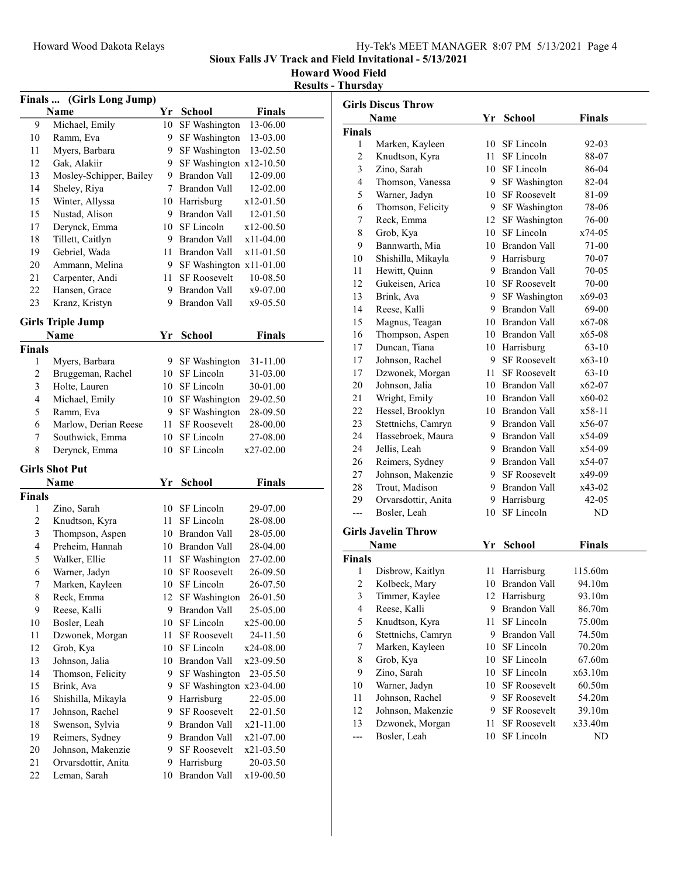## Howard Wood Field

Results - Thursday

|               | Finals  (Girls Long Jump) |     |                           |               |
|---------------|---------------------------|-----|---------------------------|---------------|
|               | Name                      | Yr  | <b>School</b>             | <b>Finals</b> |
| 9             | Michael, Emily            | 10  | SF Washington             | 13-06.00      |
| 10            | Ramm, Eva                 | 9.  | SF Washington             | 13-03.00      |
| 11            | Myers, Barbara            | 9.  | SF Washington             | 13-02.50      |
| 12            | Gak, Alakiir              | 9   | SF Washington $x12-10.50$ |               |
| 13            | Mosley-Schipper, Bailey   | 9.  | Brandon Vall              | 12-09.00      |
| 14            | Sheley, Riya              | 7   | Brandon Vall              | 12-02.00      |
| 15            | Winter, Allyssa           |     | 10 Harrisburg             | x12-01.50     |
| 15            | Nustad, Alison            | 9.  | Brandon Vall              | 12-01.50      |
| 17            | Derynck, Emma             | 10  | SF Lincoln                | x12-00.50     |
| 18            | Tillett, Caitlyn          | 9.  | Brandon Vall              | $x11-04.00$   |
| 19            | Gebriel, Wada             | 11  | Brandon Vall              | x11-01.50     |
| 20            | Ammann, Melina            | 9.  | SF Washington x11-01.00   |               |
| 21            | Carpenter, Andi           | 11- | <b>SF Roosevelt</b>       | 10-08.50      |
| 22            | Hansen, Grace             |     | 9 Brandon Vall            | x9-07.00      |
| 23            | Kranz, Kristyn            | 9   | Brandon Vall              | x9-05.50      |
|               | <b>Girls Triple Jump</b>  |     |                           |               |
|               | <b>Name</b>               | Yr  | School                    | <b>Finals</b> |
| <b>Finals</b> |                           |     |                           |               |
| 1             | Myers, Barbara            | 9.  | SF Washington             | 31-11.00      |
| 2             | Bruggeman, Rachel         | 10  | SF Lincoln                | 31-03.00      |
| 3             | Holte, Lauren             | 10  | SF Lincoln                | 30-01.00      |
| 4             | Michael, Emily            | 10  | SF Washington             | 29-02.50      |
| 5             | Ramm, Eva                 | 9   | SF Washington             | 28-09.50      |
| 6             | Marlow, Derian Reese      | 11  | <b>SF Roosevelt</b>       | 28-00.00      |
| 7             | Southwick, Emma           | 10  | SF Lincoln                | 27-08.00      |
| 8             | Derynck, Emma             | 10  | SF Lincoln                | x27-02.00     |
|               | <b>Girls Shot Put</b>     |     |                           |               |
|               | <b>Name</b>               | Yr  | School                    | Finals        |
| <b>Finals</b> |                           |     |                           |               |
| 1             | Zino, Sarah               | 10  | SF Lincoln                | 29-07.00      |
| 2             | Knudtson, Kyra            | 11- | SF Lincoln                | 28-08.00      |
| 3             | Thompson, Aspen           |     | 10 Brandon Vall           | 28-05.00      |
| 4             | Preheim, Hannah           |     | 10 Brandon Vall           | 28-04.00      |
| 5             | Walker, Ellie             | 11  | SF Washington             | 27-02.00      |
| 6             | Warner, Jadyn             | 10  | SF Roosevelt              | 26-09.50      |
| 7             | Marken, Kayleen           |     | 10 SF Lincoln             | 26-07.50      |
| 8             | Reck, Emma                | 12  | SF Washington             | 26-01.50      |
| 9             | Reese, Kalli              | 9   | <b>Brandon Vall</b>       | 25-05.00      |
| 10            | Bosler, Leah              | 10  | SF Lincoln                | x25-00.00     |
| 11            | Dzwonek, Morgan           | 11  | SF Roosevelt              | 24-11.50      |
| 12            | Grob, Kya                 | 10  | SF Lincoln                | x24-08.00     |
| 13            | Johnson, Jalia            | 10  | Brandon Vall              | x23-09.50     |
| 14            | Thomson, Felicity         | 9   | SF Washington             | 23-05.50      |
| 15            | Brink, Ava                | 9   | SF Washington x23-04.00   |               |
| 16            | Shishilla, Mikayla        | 9   | Harrisburg                | 22-05.00      |
| 17            | Johnson, Rachel           | 9.  | <b>SF Roosevelt</b>       | 22-01.50      |
| 18            | Swenson, Sylvia           | 9.  | Brandon Vall              | x21-11.00     |
| 19            | Reimers, Sydney           | 9.  | Brandon Vall              | x21-07.00     |
| 20            | Johnson, Makenzie         | 9.  | SF Roosevelt              | x21-03.50     |
| 21            | Orvarsdottir, Anita       | 9   | Harrisburg                | 20-03.50      |
| 22            | Leman, Sarah              | 10  | <b>Brandon Vall</b>       | x19-00.50     |

|                          | <b>Girls Discus Throw</b>      |          |                            |                   |  |
|--------------------------|--------------------------------|----------|----------------------------|-------------------|--|
|                          | Name                           |          | Yr School                  | <b>Finals</b>     |  |
| Finals                   |                                |          |                            |                   |  |
| 1                        | Marken, Kayleen                |          | 10 SF Lincoln              | 92-03             |  |
| $\overline{c}$           | Knudtson, Kyra                 |          | 11 SF Lincoln              | 88-07             |  |
| 3                        | Zino, Sarah                    |          | 10 SF Lincoln              | 86-04             |  |
| 4                        | Thomson, Vanessa               |          | 9 SF Washington            | 82-04             |  |
| 5                        | Warner, Jadyn                  |          | 10 SF Roosevelt            | 81-09             |  |
| 6                        | Thomson, Felicity              |          | 9 SF Washington            | 78-06             |  |
| 7                        | Reck, Emma                     |          | 12 SF Washington           | 76-00             |  |
| 8                        | Grob, Kya                      |          | 10 SF Lincoln              | x74-05            |  |
| 9                        | Bannwarth, Mia                 |          | 10 Brandon Vall            | 71-00             |  |
| 10                       | Shishilla, Mikayla             |          | 9 Harrisburg               | 70-07             |  |
| 11                       | Hewitt, Quinn                  |          | 9 Brandon Vall             | 70-05             |  |
| 12                       | Gukeisen, Arica                |          | 10 SF Roosevelt            | 70-00             |  |
| 13                       | Brink, Ava                     |          | 9 SF Washington            | x69-03            |  |
| 14                       | Reese, Kalli                   |          | 9 Brandon Vall             | 69-00             |  |
| 15                       | Magnus, Teagan                 |          | 10 Brandon Vall            | x67-08            |  |
| 16                       | Thompson, Aspen                |          | 10 Brandon Vall            | x65-08            |  |
| 17                       | Duncan, Tiana                  |          | 10 Harrisburg              | $63 - 10$         |  |
| 17                       | Johnson, Rachel                |          | 9 SF Roosevelt             | $x63-10$          |  |
| 17                       | Dzwonek, Morgan                | 11 -     | <b>SF Roosevelt</b>        | $63-10$           |  |
| 20                       | Johnson, Jalia                 |          | 10 Brandon Vall            | x62-07            |  |
| 21                       | Wright, Emily                  |          | 10 Brandon Vall            | x60-02            |  |
| 22                       | Hessel, Brooklyn               |          | 10 Brandon Vall            | x58-11            |  |
| 23                       | Stettnichs, Camryn             |          | 9 Brandon Vall             | x56-07            |  |
| 24                       | Hassebroek, Maura              |          | 9 Brandon Vall             | x54-09            |  |
| 24                       | Jellis, Leah                   |          | 9 Brandon Vall             | x54-09            |  |
| 26                       | Reimers, Sydney                |          | 9 Brandon Vall             | x54-07            |  |
| 27                       | Johnson, Makenzie              |          | 9 SF Roosevelt             | x49-09            |  |
| 28                       | Trout, Madison                 |          | 9 Brandon Vall             | x43-02            |  |
| 29                       | Orvarsdottir, Anita            |          | 9 Harrisburg               | $42 - 05$         |  |
| ---                      | Bosler, Leah                   | 10       | SF Lincoln                 | ND                |  |
|                          |                                |          |                            |                   |  |
|                          | Girls Javelin Throw            |          |                            |                   |  |
|                          | Name                           | Yr       | <b>School</b>              | <b>Finals</b>     |  |
| Finals<br>1              | Disbrow, Kaitlyn               |          | 11 Harrisburg              | 115.60m           |  |
| $\overline{c}$           | Kolbeck, Mary                  |          | 10 Brandon Vall            | 94.10m            |  |
| 3                        |                                |          | 12 Harrisburg              | 93.10m            |  |
| $\overline{\mathcal{L}}$ | Timmer, Kaylee                 |          | 9 Brandon Vall             | 86.70m            |  |
| 5                        | Reese, Kalli<br>Knudtson, Kyra | 11       | SF Lincoln                 | 75.00m            |  |
|                          |                                |          | 9 Brandon Vall             |                   |  |
| 6<br>7                   | Stettnichs, Camryn             |          | SF Lincoln                 | 74.50m<br>70.20m  |  |
|                          | Marken, Kayleen                | 10       |                            |                   |  |
| 8<br>9                   | Grob, Kya                      | 10<br>10 | SF Lincoln<br>SF Lincoln   | 67.60m<br>x63.10m |  |
|                          | Zino, Sarah                    |          |                            |                   |  |
| 10                       | Warner, Jadyn                  | 10       | <b>SF Roosevelt</b>        | 60.50m            |  |
| 11                       | Johnson, Rachel                | 9.       | <b>SF Roosevelt</b>        | 54.20m            |  |
| 12                       | Johnson, Makenzie              | 9        | <b>SF Roosevelt</b>        | 39.10m            |  |
| 13                       | Dzwonek, Morgan                | 11       | SF Roosevelt<br>SF Lincoln | x33.40m           |  |
| ---                      | Bosler, Leah                   | 10       |                            | ND                |  |
|                          |                                |          |                            |                   |  |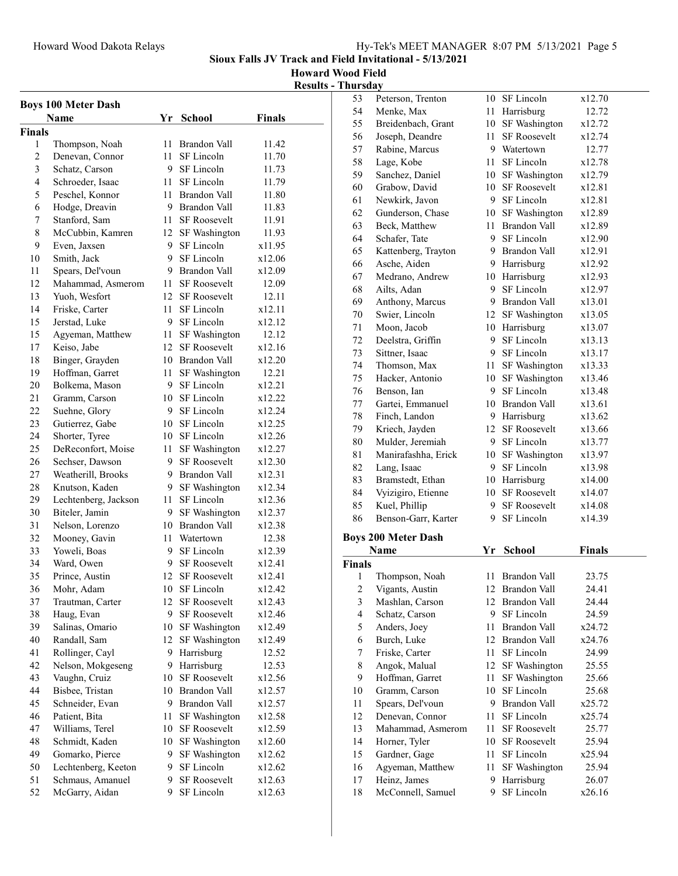Howard Wood Field

 $\frac{\text{Results - Thursday}}{\frac{53}{\text{Pet}}}$ 

|                | <b>Boys 100 Meter Dash</b> |        |                                      |               |
|----------------|----------------------------|--------|--------------------------------------|---------------|
|                | Name                       | Yr     | <b>School</b>                        | <b>Finals</b> |
| Finals         |                            |        |                                      |               |
| 1              | Thompson, Noah             |        | 11 Brandon Vall                      | 11.42         |
| $\overline{c}$ | Denevan, Connor            | $11 -$ | SF Lincoln                           | 11.70         |
| 3              | Schatz, Carson             |        | 9 SF Lincoln                         | 11.73         |
| 4              | Schroeder, Isaac           |        | 11 SF Lincoln                        | 11.79         |
| 5              | Peschel, Konnor            |        | 11 Brandon Vall                      | 11.80         |
| 6              | Hodge, Dreavin             |        | 9 Brandon Vall                       | 11.83         |
| 7              | Stanford, Sam              |        | 11 SF Roosevelt                      | 11.91         |
| 8              | McCubbin, Kamren           | 12     | SF Washington                        | 11.93         |
| 9              | Even, Jaxsen               | 9.     | SF Lincoln                           | x11.95        |
| 10             | Smith, Jack                | 9.     | SF Lincoln                           | x12.06        |
| 11             | Spears, Del'voun           |        | 9 Brandon Vall                       | x12.09        |
| 12             | Mahammad, Asmerom          |        | 11 SF Roosevelt                      | 12.09         |
| 13             | Yuoh, Wesfort              |        | 12 SF Roosevelt                      | 12.11         |
| 14             | Friske, Carter             | 11     | SF Lincoln                           | x12.11        |
| 15             | Jerstad, Luke              | 9.     | SF Lincoln                           | x12.12        |
| 15             | Agyeman, Matthew           | 11 -   | SF Washington                        | 12.12         |
| 17             | Keiso, Jabe                |        | 12 SF Roosevelt                      | x12.16        |
| 18             | Binger, Grayden            |        | 10 Brandon Vall                      | x12.20        |
| 19             | Hoffman, Garret            | 11 -   | SF Washington                        | 12.21         |
| 20             | Bolkema, Mason             |        | 9 SF Lincoln                         | x12.21        |
| 21             | Gramm, Carson              | 10     | SF Lincoln                           | x12.22        |
| 22             | Suehne, Glory              |        | 9 SF Lincoln                         | x12.24        |
| 23             | Gutierrez, Gabe            |        | 10 SF Lincoln                        | x12.25        |
| 24             | Shorter, Tyree             |        | 10 SF Lincoln                        | x12.26        |
| 25             | DeReconfort, Moise         | 11 -   | SF Washington                        | x12.27        |
| 26             | Sechser, Dawson            | 9.     | <b>SF Roosevelt</b>                  | x12.30        |
| 27             | Weatherill, Brooks         | 9      | Brandon Vall                         | x12.31        |
| 28             | Knutson, Kaden             | 9.     | SF Washington                        | x12.34        |
| 29             | Lechtenberg, Jackson       | 11 -   | SF Lincoln                           | x12.36        |
| 30             | Biteler, Jamin             | 9.     | SF Washington                        | x12.37        |
| 31             | Nelson, Lorenzo            |        | 10 Brandon Vall                      | x12.38        |
| 32             | Mooney, Gavin              | 11 -   | Watertown                            | 12.38         |
| 33             | Yoweli, Boas               | 9      | SF Lincoln                           | x12.39        |
| 34             | Ward, Owen                 | 9.     | <b>SF Roosevelt</b>                  | x12.41        |
| 35             | Prince, Austin             | 12     | <b>SF Roosevelt</b>                  | x12.41        |
| 36             | Mohr, Adam                 | 10     | SF Lincoln                           | x12.42        |
| 37             | Trautman, Carter           | 12     | <b>SF Roosevelt</b>                  | x12.43        |
| 38             | Haug, Evan                 | 9      | <b>SF Roosevelt</b>                  | x12.46        |
| 39             | Salinas, Omario            | 10     | SF Washington                        | x12.49        |
| 40             | Randall, Sam               | 12     | SF Washington                        | x12.49        |
| 41             | Rollinger, Cayl            | 9      | Harrisburg                           | 12.52         |
| 42             | Nelson, Mokgeseng          | 9      | Harrisburg                           | 12.53         |
| 43             | Vaughn, Cruiz              | 10     | SF Roosevelt                         | x12.56        |
| 44             | Bisbee, Tristan            | 10     | Brandon Vall                         | x12.57        |
| 45             | Schneider, Evan            | 9      | Brandon Vall                         | x12.57        |
| 46             |                            |        |                                      | x12.58        |
|                | Patient, Bita              | 11     | SF Washington<br><b>SF Roosevelt</b> |               |
| 47             | Williams, Terel            | 10     |                                      | x12.59        |
| 48             | Schmidt, Kaden             | 10     | SF Washington                        | x12.60        |
| 49             | Gomarko, Pierce            | 9      | SF Washington                        | x12.62        |
| 50             | Lechtenberg, Keeton        | 9      | SF Lincoln                           | x12.62        |
| 51             | Schmaus, Amanuel           | 9      | SF Roosevelt                         | x12.63        |
| 52             | McGarry, Aidan             | 9      | SF Lincoln                           | x12.63        |

| 53                      | Peterson, Trenton                 |         | 10 SF Lincoln            | x12.70          |  |
|-------------------------|-----------------------------------|---------|--------------------------|-----------------|--|
| 54                      | Menke, Max                        |         | 11 Harrisburg            | 12.72           |  |
| 55                      | Breidenbach, Grant                |         | 10 SF Washington         | x12.72          |  |
| 56                      | Joseph, Deandre                   | 11      | <b>SF Roosevelt</b>      | x12.74          |  |
| 57                      | Rabine, Marcus                    |         | 9 Watertown              | 12.77           |  |
| 58                      | Lage, Kobe                        | 11      | SF Lincoln               | x12.78          |  |
| 59                      | Sanchez, Daniel                   |         | 10 SF Washington         | x12.79          |  |
| 60                      | Grabow, David                     |         | 10 SF Roosevelt          | x12.81          |  |
| 61                      | Newkirk, Javon                    |         | 9 SF Lincoln             | x12.81          |  |
| 62                      | Gunderson, Chase                  | 10      | SF Washington            | x12.89          |  |
| 63                      | Beck, Matthew                     | 11 -    | <b>Brandon Vall</b>      | x12.89          |  |
| 64                      | Schafer, Tate                     | 9       | SF Lincoln               | x12.90          |  |
| 65                      | Kattenberg, Trayton               |         | 9 Brandon Vall           | x12.91          |  |
| 66                      | Asche, Aiden                      |         | 9 Harrisburg             | x12.92          |  |
| 67                      | Medrano, Andrew                   |         | 10 Harrisburg            | x12.93          |  |
| 68                      | Ailts, Adan                       |         | 9 SF Lincoln             | x12.97          |  |
| 69                      | Anthony, Marcus                   |         | 9 Brandon Vall           | x13.01          |  |
| 70                      | Swier, Lincoln                    |         | 12 SF Washington         | x13.05          |  |
| 71                      | Moon, Jacob                       |         | 10 Harrisburg            | x13.07          |  |
| 72                      | Deelstra, Griffin                 | 9       | SF Lincoln               | x13.13          |  |
| 73                      | Sittner, Isaac                    |         | 9 SF Lincoln             | x13.17          |  |
| 74                      | Thomson, Max                      | 11 -    | SF Washington            | x13.33          |  |
| 75                      | Hacker, Antonio                   | 10      | SF Washington            | x13.46          |  |
| 76                      | Benson, Ian                       | 9       | SF Lincoln               | x13.48          |  |
| 77                      | Gartei, Emmanuel                  |         | 10 Brandon Vall          | x13.61          |  |
| 78                      | Finch, Landon                     |         | 9 Harrisburg             | x13.62          |  |
| 79                      | Kriech, Jayden                    |         | 12 SF Roosevelt          | x13.66          |  |
| 80                      | Mulder, Jeremiah                  |         | 9 SF Lincoln             | x13.77          |  |
|                         |                                   |         |                          |                 |  |
|                         |                                   |         |                          |                 |  |
| 81                      | Manirafashha, Erick               |         | 10 SF Washington         | x13.97          |  |
| 82                      | Lang, Isaac                       | 9       | SF Lincoln               | x13.98          |  |
| 83                      | Bramstedt, Ethan                  |         | 10 Harrisburg            | x14.00          |  |
| 84                      | Vyizigiro, Etienne                | 10      | SF Roosevelt             | x14.07          |  |
| 85                      | Kuel, Phillip                     | 9       | <b>SF Roosevelt</b>      | x14.08          |  |
| 86                      | Benson-Garr, Karter               | 9       | SF Lincoln               | x14.39          |  |
|                         | <b>Boys 200 Meter Dash</b>        |         |                          |                 |  |
|                         | Name                              | Yr      | <b>School</b>            | <b>Finals</b>   |  |
| <b>Finals</b>           |                                   |         |                          |                 |  |
| 1                       | Thompson, Noah                    |         | 11 Brandon Vall          | 23.75           |  |
| $\overline{\mathbf{c}}$ | Vigants, Austin                   |         | 12 Brandon Vall          | 24.41           |  |
| 3                       | Mashlan, Carson                   |         | 12 Brandon Vall          | 24.44           |  |
| $\overline{4}$          | Schatz, Carson                    | 9.      | SF Lincoln               | 24.59           |  |
| 5                       | Anders, Joey                      | 11      | Brandon Vall             | x24.72          |  |
| 6                       | Burch, Luke                       |         | 12 Brandon Vall          | x24.76          |  |
| 7                       | Friske, Carter                    | 11      | SF Lincoln               | 24.99           |  |
| 8                       | Angok, Malual                     | 12      | SF Washington            | 25.55           |  |
| 9                       | Hoffman, Garret                   | 11      | SF Washington            | 25.66           |  |
| 10                      | Gramm, Carson                     | 10      | SF Lincoln               | 25.68           |  |
| 11                      | Spears, Del'voun                  | 9.      | Brandon Vall             | x25.72          |  |
| 12                      | Denevan, Connor                   | 11      | SF Lincoln               | x25.74          |  |
| 13                      | Mahammad, Asmerom                 | 11      | <b>SF Roosevelt</b>      | 25.77           |  |
| 14                      | Horner, Tyler                     | 10      | SF Roosevelt             | 25.94           |  |
| 15                      | Gardner, Gage                     | 11      | SF Lincoln               | x25.94          |  |
| 16                      | Agyeman, Matthew                  | 11      | SF Washington            | 25.94           |  |
| 17<br>18                | Heinz, James<br>McConnell, Samuel | 9.<br>9 | Harrisburg<br>SF Lincoln | 26.07<br>x26.16 |  |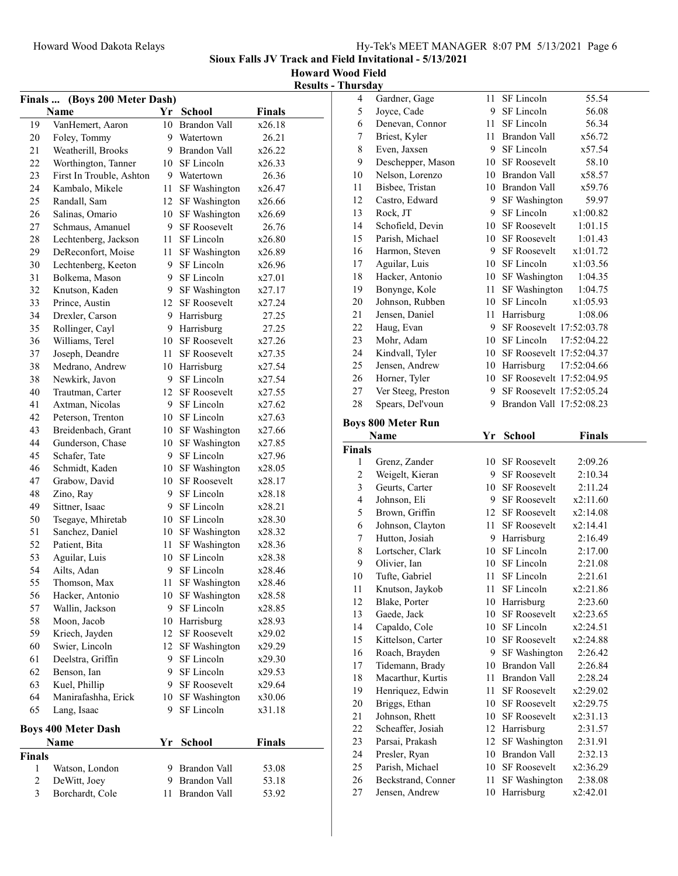Sioux Falls JV Track and Field Invitational - 5/13/2021

Howard Wood Field

| <b>Results - Thursday</b> |
|---------------------------|
|---------------------------|

| (Boys 200 Meter Dash)<br>Finals |                            |        |                     |                |  |  |
|---------------------------------|----------------------------|--------|---------------------|----------------|--|--|
|                                 | Name                       |        | Yr School           | Finals         |  |  |
| 19                              | VanHemert, Aaron           | 10     | <b>Brandon Vall</b> | x26.18         |  |  |
| 20                              | Foley, Tommy               |        | 9 Watertown         | 26.21          |  |  |
| 21                              | Weatherill, Brooks         |        | 9 Brandon Vall      | x26.22         |  |  |
| 22                              | Worthington, Tanner        |        | 10 SF Lincoln       | x26.33         |  |  |
| 23                              | First In Trouble, Ashton   |        | 9 Watertown         | 26.36          |  |  |
| 24                              | Kambalo, Mikele            | 11     | SF Washington       | x26.47         |  |  |
| 25                              | Randall, Sam               |        | 12 SF Washington    | x26.66         |  |  |
| 26                              | Salinas, Omario            | 10     | SF Washington       | x26.69         |  |  |
| 27                              | Schmaus, Amanuel           | 9.     | <b>SF Roosevelt</b> | 26.76          |  |  |
| 28                              | Lechtenberg, Jackson       | 11 -   | SF Lincoln          | x26.80         |  |  |
| 29                              | DeReconfort, Moise         | 11 -   | SF Washington       | x26.89         |  |  |
| 30                              | Lechtenberg, Keeton        | 9.     | SF Lincoln          | x26.96         |  |  |
| 31                              | Bolkema, Mason             | 9      | SF Lincoln          | x27.01         |  |  |
| 32                              | Knutson, Kaden             |        | 9 SF Washington     | x27.17         |  |  |
| 33                              | Prince, Austin             |        | 12 SF Roosevelt     | x27.24         |  |  |
| 34                              | Drexler, Carson            |        | 9 Harrisburg        | 27.25          |  |  |
| 35                              | Rollinger, Cayl            |        | 9 Harrisburg        | 27.25          |  |  |
| 36                              | Williams, Terel            |        | 10 SF Roosevelt     | x27.26         |  |  |
| 37                              | Joseph, Deandre            | 11 -   | <b>SF Roosevelt</b> | x27.35         |  |  |
| 38                              | Medrano, Andrew            |        | 10 Harrisburg       | x27.54         |  |  |
| 38                              | Newkirk, Javon             | 9.     | SF Lincoln          | x27.54         |  |  |
| 40                              | Trautman, Carter           |        | 12 SF Roosevelt     | x27.55         |  |  |
| 41                              | Axtman, Nicolas            |        | 9 SF Lincoln        | x27.62         |  |  |
| 42                              | Peterson, Trenton          |        | 10 SF Lincoln       | x27.63         |  |  |
| 43                              | Breidenbach, Grant         |        | 10 SF Washington    | x27.66         |  |  |
| 44                              | Gunderson, Chase           |        | 10 SF Washington    | x27.85         |  |  |
| 45                              | Schafer, Tate              |        | 9 SF Lincoln        | x27.96         |  |  |
| 46                              | Schmidt, Kaden             |        | 10 SF Washington    | x28.05         |  |  |
| 47                              | Grabow, David              |        | 10 SF Roosevelt     | x28.17         |  |  |
| 48                              | Zino, Ray                  | 9      | SF Lincoln          | x28.18         |  |  |
| 49                              | Sittner, Isaac             | 9      | SF Lincoln          | x28.21         |  |  |
| 50                              | Tsegaye, Mhiretab          | 10     | SF Lincoln          | x28.30         |  |  |
| 51                              | Sanchez, Daniel            |        | 10 SF Washington    | x28.32         |  |  |
| 52                              | Patient, Bita              | 11     | SF Washington       | x28.36         |  |  |
| 53                              | Aguilar, Luis              | 10     | SF Lincoln          | x28.38         |  |  |
| 54                              | Ailts, Adan                | 9      | SF Lincoln          | x28.46         |  |  |
| 55                              | Thomson, Max               | 11     | SF Washington       | x28.46         |  |  |
| 56                              | Hacker, Antonio            |        | 10 SF Washington    | x28.58         |  |  |
| 57                              | Wallin, Jackson            | 9.     | SF Lincoln          | x28.85         |  |  |
| 58                              | Moon, Jacob                |        | 10 Harrisburg       | x28.93         |  |  |
| 59                              | Kriech, Jayden             |        | 12 SF Roosevelt     | x29.02         |  |  |
| 60                              | Swier, Lincoln             | 12     | SF Washington       | x29.29         |  |  |
| 61                              | Deelstra, Griffin          | 9      | SF Lincoln          | x29.30         |  |  |
| 62                              | Benson, Ian                | 9.     | SF Lincoln          | x29.53         |  |  |
| 63                              | Kuel, Phillip              | 9.     | SF Roosevelt        | x29.64         |  |  |
| 64                              | Manirafashha, Erick        | $10\,$ | SF Washington       | x30.06         |  |  |
| 65                              | Lang, Isaac                | 9      | SF Lincoln          | x31.18         |  |  |
|                                 |                            |        |                     |                |  |  |
|                                 | <b>Boys 400 Meter Dash</b> |        | <b>School</b>       | <b>Finals</b>  |  |  |
|                                 | Name                       | Yr     |                     |                |  |  |
| <b>Finals</b><br>1              | Watson, London             |        | 9 Brandon Vall      |                |  |  |
| $\overline{c}$                  | DeWitt, Joey               |        | 9 Brandon Vall      | 53.08<br>53.18 |  |  |
| 3                               | Borchardt, Cole            | 11     | Brandon Vall        | 53.92          |  |  |
|                                 |                            |        |                     |                |  |  |

| $\overline{4}$ | Gardner, Gage                        | 11       | SF Lincoln                  | 55.54               |  |
|----------------|--------------------------------------|----------|-----------------------------|---------------------|--|
| 5              | Joyce, Cade                          | 9        | SF Lincoln                  | 56.08               |  |
| 6              | Denevan, Connor                      | 11       | SF Lincoln                  | 56.34               |  |
| 7              | Briest, Kyler                        | 11       | <b>Brandon Vall</b>         | x56.72              |  |
| 8              | Even, Jaxsen                         | 9        | SF Lincoln                  | x57.54              |  |
| 9              | Deschepper, Mason                    | 10       | SF Roosevelt                | 58.10               |  |
| 10             | Nelson, Lorenzo                      | 10       | Brandon Vall                | x58.57              |  |
| 11             | Bisbee, Tristan                      | 10       | <b>Brandon Vall</b>         | x59.76              |  |
| 12             | Castro, Edward                       | 9        | SF Washington               | 59.97               |  |
| 13             | Rock, JT                             | 9        | SF Lincoln                  | x1:00.82            |  |
|                |                                      |          |                             |                     |  |
| 14             | Schofield, Devin                     | 10       | <b>SF Roosevelt</b>         | 1:01.15             |  |
| 15             | Parish, Michael                      | 10       | SF Roosevelt                | 1:01.43             |  |
| 16             | Harmon, Steven                       | 9.       | <b>SF Roosevelt</b>         | x1:01.72            |  |
| 17             | Aguilar, Luis                        |          | 10 SF Lincoln               | x1:03.56            |  |
| 18             | Hacker, Antonio                      | 10       | SF Washington               | 1:04.35             |  |
| 19             | Bonynge, Kole                        | 11       | SF Washington               | 1:04.75             |  |
| 20             | Johnson, Rubben                      | 10       | SF Lincoln                  | x1:05.93            |  |
| 21             | Jensen, Daniel                       | 11       | Harrisburg                  | 1:08.06             |  |
| 22             | Haug, Evan                           | 9        | SF Roosevelt 17:52:03.78    |                     |  |
| 23             | Mohr, Adam                           | 10       | SF Lincoln                  | 17:52:04.22         |  |
| 24             | Kindvall, Tyler                      | 10       | SF Roosevelt 17:52:04.37    |                     |  |
| 25             | Jensen, Andrew                       | 10       | Harrisburg                  | 17:52:04.66         |  |
| 26             | Horner, Tyler                        | 10       | SF Roosevelt 17:52:04.95    |                     |  |
| 27             | Ver Steeg, Preston                   | 9        | SF Roosevelt 17:52:05.24    |                     |  |
| 28             | Spears, Del'voun                     | 9.       | Brandon Vall 17:52:08.23    |                     |  |
|                |                                      |          |                             |                     |  |
|                | <b>Boys 800 Meter Run</b>            |          |                             |                     |  |
|                | Name                                 | Yr       | <b>School</b>               | <b>Finals</b>       |  |
|                |                                      |          |                             |                     |  |
| <b>Finals</b>  |                                      |          |                             |                     |  |
| 1              | Grenz, Zander                        | 10       | <b>SF Roosevelt</b>         | 2:09.26             |  |
| $\overline{c}$ | Weigelt, Kieran                      | 9        | SF Roosevelt                | 2:10.34             |  |
| $\mathfrak{Z}$ | Geurts, Carter                       | 10       | <b>SF Roosevelt</b>         | 2:11.24             |  |
| $\overline{4}$ | Johnson, Eli                         | 9.       | <b>SF Roosevelt</b>         | x2:11.60            |  |
| 5              | Brown, Griffin                       | 12       | <b>SF Roosevelt</b>         | x2:14.08            |  |
| 6              | Johnson, Clayton                     | 11       | <b>SF Roosevelt</b>         | x2:14.41            |  |
| 7              | Hutton, Josiah                       | 9        | Harrisburg                  | 2:16.49             |  |
| $\,$ $\,$      | Lortscher, Clark                     | 10       | SF Lincoln                  | 2:17.00             |  |
| 9              | Olivier, Ian                         | 10       | SF Lincoln                  | 2:21.08             |  |
| 10             | Tufte, Gabriel                       | 11       | SF Lincoln                  | 2:21.61             |  |
| 11             | Knutson, Jaykob                      |          | 11 SF Lincoln               | x2:21.86            |  |
| 12             | Blake, Porter                        | 10       | Harrisburg                  | 2:23.60             |  |
| 13             | Gaede, Jack                          | 10       | <b>SF Roosevelt</b>         | x2:23.65            |  |
| 14             | Capaldo, Cole                        | 10       | SF Lincoln                  | x2:24.51            |  |
| 15             | Kittelson, Carter                    | 10       | <b>SF Roosevelt</b>         | x2:24.88            |  |
| 16             |                                      | 9        |                             | 2:26.42             |  |
| 17             | Roach, Brayden                       | 10       | SF Washington               | 2:26.84             |  |
|                | Tidemann, Brady                      | 11       | Brandon Vall                |                     |  |
| 18             | Macarthur, Kurtis                    | 11       | Brandon Vall                | 2:28.24             |  |
| 19             | Henriquez, Edwin                     |          | <b>SF Roosevelt</b>         | x2:29.02            |  |
| 20             | Briggs, Ethan                        | 10       | SF Roosevelt                | x2:29.75            |  |
| 21             | Johnson, Rhett                       | 10       | <b>SF Roosevelt</b>         | x2:31.13            |  |
| 22             | Scheaffer, Josiah                    | 12       | Harrisburg                  | 2:31.57             |  |
| 23             | Parsai, Prakash                      | 12       | SF Washington               | 2:31.91             |  |
| 24             | Presler, Ryan                        | 10       | <b>Brandon Vall</b>         | 2:32.13             |  |
| 25             | Parish, Michael                      | 10       | <b>SF Roosevelt</b>         | x2:36.29            |  |
| 26<br>27       | Beckstrand, Conner<br>Jensen, Andrew | 11<br>10 | SF Washington<br>Harrisburg | 2:38.08<br>x2:42.01 |  |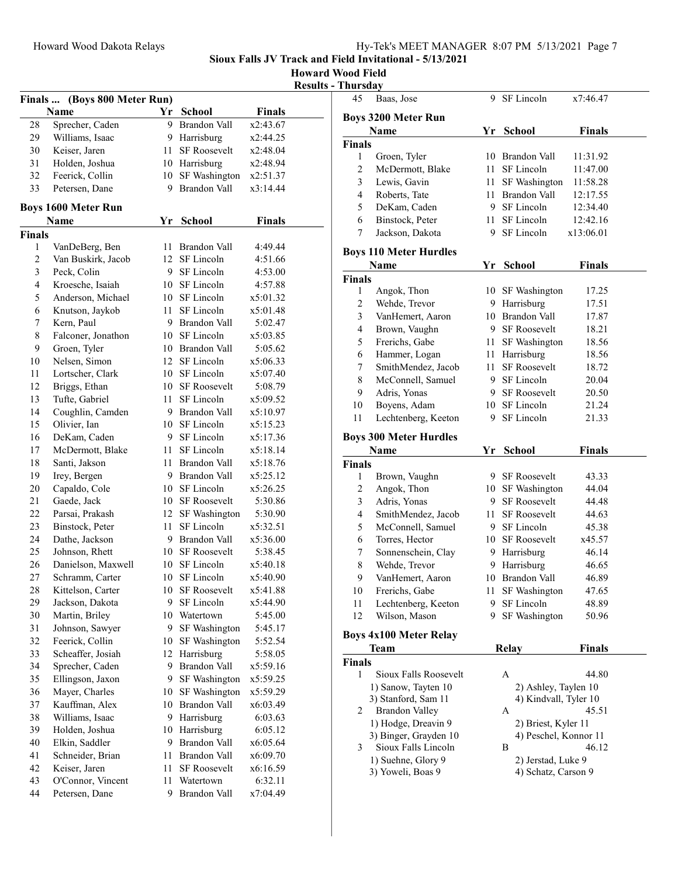Howard Wood Field Its - Thursday

|               |                              |      |                     |               | <u>Result:</u> |
|---------------|------------------------------|------|---------------------|---------------|----------------|
|               | Finals  (Boys 800 Meter Run) |      |                     |               |                |
|               | Name                         |      | Yr School           | <b>Finals</b> |                |
| 28            | Sprecher, Caden              | 9.   | <b>Brandon Vall</b> | x2:43.67      |                |
| 29            | Williams, Isaac              |      | 9 Harrisburg        | x2:44.25      |                |
| 30            | Keiser, Jaren                | 11 - | SF Roosevelt        | x2:48.04      |                |
| 31            | Holden, Joshua               |      | 10 Harrisburg       | x2:48.94      |                |
| 32            | Feerick, Collin              |      | 10 SF Washington    | x2:51.37      |                |
| 33            | Petersen, Dane               |      | 9 Brandon Vall      | x3:14.44      |                |
|               | <b>Boys 1600 Meter Run</b>   |      |                     |               |                |
|               | Name                         | Yr   | <b>School</b>       | <b>Finals</b> |                |
| <b>Finals</b> |                              |      |                     |               |                |
| 1             | VanDeBerg, Ben               |      | 11 Brandon Vall     | 4:49.44       |                |
| 2             | Van Buskirk, Jacob           |      | 12 SF Lincoln       | 4:51.66       |                |
| 3             | Peck, Colin                  | 9.   | SF Lincoln          | 4:53.00       |                |
| 4             | Kroesche, Isaiah             |      | 10 SF Lincoln       | 4:57.88       |                |
| 5             | Anderson, Michael            |      | 10 SF Lincoln       | x5:01.32      |                |
| 6             | Knutson, Jaykob              | 11   | SF Lincoln          | x5:01.48      |                |
| 7             | Kern, Paul                   |      | 9 Brandon Vall      | 5:02.47       |                |
| 8             | Falconer, Jonathon           |      | 10 SF Lincoln       | x5:03.85      |                |
| 9             | Groen, Tyler                 |      | 10 Brandon Vall     | 5:05.62       |                |
| 10            | Nelsen, Simon                |      | 12 SF Lincoln       | x5:06.33      |                |
| 11            | Lortscher, Clark             |      | 10 SF Lincoln       | x5:07.40      |                |
| 12            | Briggs, Ethan                |      | 10 SF Roosevelt     | 5:08.79       |                |
| 13            | Tufte, Gabriel               |      | 11 SF Lincoln       | x5:09.52      |                |
| 14            | Coughlin, Camden             |      | 9 Brandon Vall      | x5:10.97      |                |
| 15            | Olivier, Ian                 |      | 10 SF Lincoln       | x5:15.23      |                |
| 16            | DeKam, Caden                 |      | 9 SF Lincoln        | x5:17.36      |                |
| 17            | McDermott, Blake             | 11 - | SF Lincoln          | x5:18.14      |                |
| 18            | Santi, Jakson                | 11   | <b>Brandon Vall</b> | x5:18.76      |                |
| 19            | Irey, Bergen                 |      | 9 Brandon Vall      | x5:25.12      |                |
| 20            | Capaldo, Cole                |      | 10 SF Lincoln       | x5:26.25      |                |
| 21            | Gaede, Jack                  |      | 10 SF Roosevelt     | 5:30.86       |                |
| 22            | Parsai, Prakash              |      | 12 SF Washington    | 5:30.90       |                |
| 23            | Binstock, Peter              | 11 - | SF Lincoln          | x5:32.51      |                |
| 24            | Dathe, Jackson               |      | 9 Brandon Vall      | x5:36.00      |                |
| 25            | Johnson, Rhett               |      | 10 SF Roosevelt     | 5:38.45       |                |
| 26            | Danielson, Maxwell           |      | 10 SF Lincoln       | x5:40.18      |                |
| 27            | Schramm, Carter              |      | 10 SF Lincoln       | x5:40.90      |                |
| 28            | Kittelson, Carter            | 10 - | <b>SF Roosevelt</b> | x5:41.88      |                |
| 29            | Jackson, Dakota              | 9.   | SF Lincoln          | x5:44.90      |                |
| 30            | Martin, Briley               |      | 10 Watertown        | 5:45.00       |                |
| 31            | Johnson, Sawyer              | 9.   | SF Washington       | 5:45.17       |                |
| 32            | Feerick, Collin              | 10   | SF Washington       | 5:52.54       |                |
| 33            | Scheaffer, Josiah            |      | 12 Harrisburg       | 5:58.05       |                |
| 34            | Sprecher, Caden              | 9.   | <b>Brandon Vall</b> | x5:59.16      |                |
| 35            | Ellingson, Jaxon             | 9.   | SF Washington       | x5:59.25      |                |
| 36            | Mayer, Charles               | 10   | SF Washington       | x5:59.29      |                |
| 37            | Kauffman, Alex               | 10   | Brandon Vall        | x6:03.49      |                |
| 38            | Williams, Isaac              | 9    | Harrisburg          | 6:03.63       |                |
| 39            | Holden, Joshua               | 10   | Harrisburg          | 6:05.12       |                |
| 40            | Elkin, Saddler               | 9    | Brandon Vall        | x6:05.64      |                |
| 41            | Schneider, Brian             | 11   | Brandon Vall        | x6:09.70      |                |
| 42            | Keiser, Jaren                | 11   | <b>SF Roosevelt</b> | x6:16.59      |                |
| 43            | O'Connor, Vincent            | 11   | Watertown           | 6:32.11       |                |
| 44            | Petersen, Dane               | 9    | Brandon Vall        | x7:04.49      |                |
|               |                              |      |                     |               |                |

| 45             | Baas, Jose                         | 9    | SF Lincoln            | x7:46.47      |  |
|----------------|------------------------------------|------|-----------------------|---------------|--|
|                |                                    |      |                       |               |  |
|                | <b>Boys 3200 Meter Run</b><br>Name | Yr   |                       | <b>Finals</b> |  |
| <b>Finals</b>  |                                    |      | <b>School</b>         |               |  |
| 1              | Groen, Tyler                       |      | 10 Brandon Vall       | 11:31.92      |  |
| $\overline{c}$ | McDermott, Blake                   | 11 - | SF Lincoln            | 11:47.00      |  |
| 3              | Lewis, Gavin                       | 11 - | SF Washington         | 11:58.28      |  |
| 4              | Roberts, Tate                      |      | 11 Brandon Vall       | 12:17.55      |  |
| 5              | DeKam, Caden                       |      | 9 SF Lincoln          | 12:34.40      |  |
| 6              | Binstock, Peter                    |      | 11 SF Lincoln         | 12:42.16      |  |
| 7              | Jackson, Dakota                    | 9.   | SF Lincoln            | x13:06.01     |  |
|                |                                    |      |                       |               |  |
|                | <b>Boys 110 Meter Hurdles</b>      |      |                       |               |  |
|                | Name                               | Yr   | <b>School</b>         | <b>Finals</b> |  |
| <b>Finals</b>  |                                    |      |                       |               |  |
| 1              | Angok, Thon                        |      | 10 SF Washington      | 17.25         |  |
| $\overline{c}$ | Wehde, Trevor                      |      | 9 Harrisburg          | 17.51         |  |
| 3              | VanHemert, Aaron                   |      | 10 Brandon Vall       | 17.87         |  |
| $\overline{4}$ | Brown, Vaughn                      |      | 9 SF Roosevelt        | 18.21         |  |
| 5              | Frerichs, Gabe                     |      | 11 SF Washington      | 18.56         |  |
| 6              | Hammer, Logan                      |      | 11 Harrisburg         | 18.56         |  |
| 7              | SmithMendez, Jacob                 |      | 11 SF Roosevelt       | 18.72         |  |
| 8              | McConnell, Samuel                  |      | 9 SF Lincoln          | 20.04         |  |
| 9              | Adris, Yonas                       |      | 9 SF Roosevelt        | 20.50         |  |
| 10             | Boyens, Adam                       |      | 10 SF Lincoln         | 21.24         |  |
| 11             | Lechtenberg, Keeton                | 9.   | SF Lincoln            | 21.33         |  |
|                | <b>Boys 300 Meter Hurdles</b>      |      |                       |               |  |
|                | Name                               | Yr   | School                | <b>Finals</b> |  |
| <b>Finals</b>  |                                    |      |                       |               |  |
|                |                                    |      |                       |               |  |
| 1              | Brown, Vaughn                      |      | 9 SF Roosevelt        | 43.33         |  |
| 2              | Angok, Thon                        |      | 10 SF Washington      | 44.04         |  |
| 3              | Adris, Yonas                       |      | 9 SF Roosevelt        | 44.48         |  |
| 4              | SmithMendez, Jacob                 |      | 11 SF Roosevelt       | 44.63         |  |
| 5              | McConnell, Samuel                  |      | 9 SF Lincoln          | 45.38         |  |
| 6              | Torres, Hector                     |      | 10 SF Roosevelt       | x45.57        |  |
| 7              | Sonnenschein, Clay                 |      | 9 Harrisburg          | 46.14         |  |
| 8              | Wehde, Trevor                      | 9.   | Harrisburg            | 46.65         |  |
| 9              | VanHemert, Aaron                   |      | 10 Brandon Vall       | 46.89         |  |
| 10             | Frerichs, Gabe                     | 11   | SF Washington         | 47.65         |  |
| 11             | Lechtenberg, Keeton                | 9    | SF Lincoln            | 48.89         |  |
| 12             | Wilson, Mason                      | 9    | SF Washington         | 50.96         |  |
|                | <b>Boys 4x100 Meter Relay</b>      |      |                       |               |  |
|                | Team                               |      | <b>Relay</b>          | <b>Finals</b> |  |
| <b>Finals</b>  |                                    |      |                       |               |  |
| 1              | Sioux Falls Roosevelt              |      | A                     | 44.80         |  |
|                | 1) Sanow, Tayten 10                |      | 2) Ashley, Taylen 10  |               |  |
|                | 3) Stanford, Sam 11                |      | 4) Kindvall, Tyler 10 |               |  |
| 2              | <b>Brandon Valley</b>              |      | A                     | 45.51         |  |
|                | 1) Hodge, Dreavin 9                |      | 2) Briest, Kyler 11   |               |  |
|                | 3) Binger, Grayden 10              |      | 4) Peschel, Konnor 11 |               |  |
| 3              | Sioux Falls Lincoln                |      | В                     | 46.12         |  |
|                | 1) Suehne, Glory 9                 |      | 2) Jerstad, Luke 9    |               |  |
|                | 3) Yoweli, Boas 9                  |      | 4) Schatz, Carson 9   |               |  |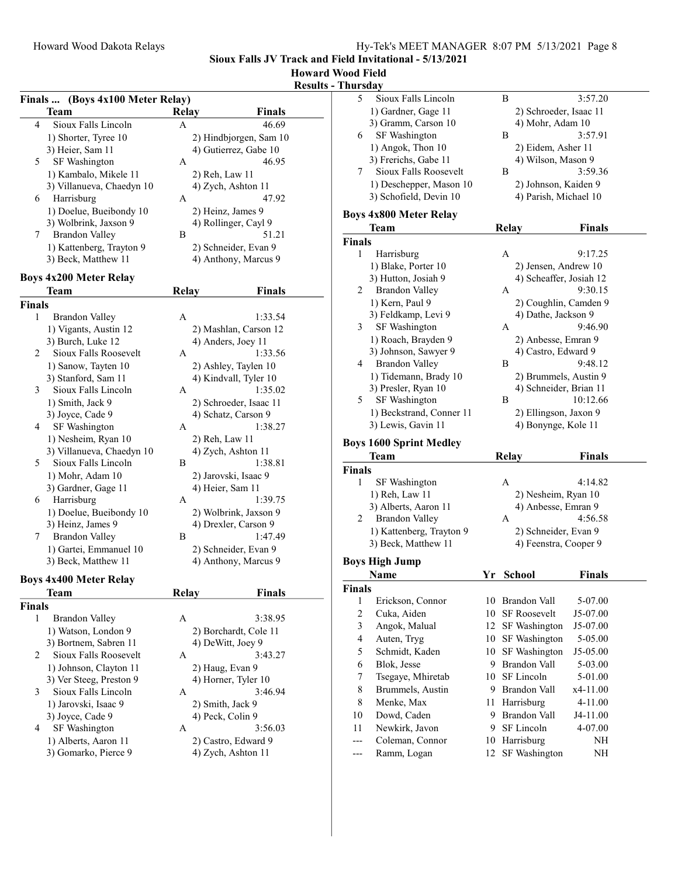#### Howard Wood Field Results - Thursday

|               | Finals  (Boys 4x100 Meter Relay) |              |                        |
|---------------|----------------------------------|--------------|------------------------|
|               | Team                             | <b>Relay</b> | <b>Finals</b>          |
| 4             | Sioux Falls Lincoln              | A            | 46.69                  |
|               | 1) Shorter, Tyree 10             |              | 2) Hindbjorgen, Sam 10 |
|               | 3) Heier, Sam 11                 |              | 4) Gutierrez, Gabe 10  |
| 5             | SF Washington                    | А            | 46.95                  |
|               | 1) Kambalo, Mikele 11            |              | 2) Reh, Law 11         |
|               | 3) Villanueva, Chaedyn 10        |              | 4) Zych, Ashton 11     |
| 6             | Harrisburg                       | А            | 47.92                  |
|               | 1) Doelue, Bueibondy 10          |              | 2) Heinz, James 9      |
|               | 3) Wolbrink, Jaxson 9            |              | 4) Rollinger, Cayl 9   |
| 7             | <b>Brandon Valley</b>            | В            | 51.21                  |
|               | 1) Kattenberg, Trayton 9         |              | 2) Schneider, Evan 9   |
|               | 3) Beck, Matthew 11              |              | 4) Anthony, Marcus 9   |
|               | <b>Boys 4x200 Meter Relay</b>    |              |                        |
|               | Team                             | Relay        | Finals                 |
| <b>Finals</b> |                                  |              |                        |
| 1             | <b>Brandon Valley</b>            | A            | 1:33.54                |
|               | 1) Vigants, Austin 12            |              | 2) Mashlan, Carson 12  |
|               | 3) Burch, Luke 12                |              | 4) Anders, Joey 11     |
| 2             | Sioux Falls Roosevelt            | A            | 1:33.56                |
|               | 1) Sanow, Tayten 10              |              | 2) Ashley, Taylen 10   |
|               | 3) Stanford, Sam 11              |              | 4) Kindvall, Tyler 10  |
| 3             | Sioux Falls Lincoln              | А            | 1:35.02                |
|               | 1) Smith, Jack 9                 |              | 2) Schroeder, Isaac 11 |
|               | 3) Joyce, Cade 9                 |              | 4) Schatz, Carson 9    |
| 4             | SF Washington                    | A            | 1:38.27                |
|               | 1) Nesheim, Ryan 10              |              | 2) Reh, Law 11         |
|               | 3) Villanueva, Chaedyn 10        |              | 4) Zych, Ashton 11     |
| 5             | Sioux Falls Lincoln              | В            | 1:38.81                |
|               | 1) Mohr, Adam 10                 |              | 2) Jarovski, Isaac 9   |
|               | 3) Gardner, Gage 11              |              | 4) Heier, Sam 11       |
| 6             | Harrisburg                       | А            | 1:39.75                |
|               | 1) Doelue, Bueibondy 10          |              | 2) Wolbrink, Jaxson 9  |
|               | 3) Heinz, James 9                |              | 4) Drexler, Carson 9   |
| 7             | <b>Brandon Valley</b>            | B            | 1:47.49                |
|               | 1) Gartei, Emmanuel 10           |              | 2) Schneider, Evan 9   |
|               | 3) Beck, Matthew 11              |              | 4) Anthony, Marcus 9   |
|               | <b>Boys 4x400 Meter Relay</b>    |              |                        |
|               | <b>Team</b>                      | <b>Relay</b> | Finals                 |
| <b>Finals</b> |                                  |              |                        |
| 1             | <b>Brandon Valley</b>            | A            | 3:38.95                |
|               | 1) Watson, London 9              |              | 2) Borchardt, Cole 11  |
|               | 3) Bortnem, Sabren 11            |              | 4) DeWitt, Joey 9      |
| 2             | Sioux Falls Roosevelt            | А            | 3:43.27                |
|               | 1) Johnson, Clayton 11           |              | 2) Haug, Evan 9        |
|               | 3) Ver Steeg, Preston 9          |              | 4) Horner, Tyler 10    |
| 3             | Sioux Falls Lincoln              | А            | 3:46.94                |
|               | 1) Jarovski, Isaac 9             |              | 2) Smith, Jack 9       |
|               | 3) Joyce, Cade 9                 |              | 4) Peck, Colin 9       |
| 4             | SF Washington                    | А            | 3:56.03                |
|               | 1) Alberts, Aaron 11             |              | 2) Castro, Edward 9    |
|               | 3) Gomarko, Pierce 9             |              | 4) Zych, Ashton 11     |
|               |                                  |              |                        |

| l IIUI SUA     |                                |    |                                |               |  |
|----------------|--------------------------------|----|--------------------------------|---------------|--|
| 5              | Sioux Falls Lincoln            |    | В                              | 3:57.20       |  |
|                | 1) Gardner, Gage 11            |    | 2) Schroeder, Isaac 11         |               |  |
|                | 3) Gramm, Carson 10            |    | 4) Mohr, Adam 10               |               |  |
| 6              | SF Washington                  |    | В                              | 3:57.91       |  |
|                | 1) Angok, Thon 10              |    | 2) Eidem, Asher 11             |               |  |
|                |                                |    | 4) Wilson, Mason 9             |               |  |
|                | 3) Frerichs, Gabe 11           |    |                                |               |  |
| 7              | Sioux Falls Roosevelt          |    | Β                              | 3:59.36       |  |
|                | 1) Deschepper, Mason 10        |    | 2) Johnson, Kaiden 9           |               |  |
|                | 3) Schofield, Devin 10         |    | 4) Parish, Michael 10          |               |  |
|                | <b>Boys 4x800 Meter Relay</b>  |    |                                |               |  |
|                |                                |    |                                |               |  |
|                | <b>Team</b>                    |    | <b>Relay</b>                   | <b>Finals</b> |  |
| <b>Finals</b>  |                                |    |                                |               |  |
| 1              | Harrisburg                     |    | A                              | 9:17.25       |  |
|                | 1) Blake, Porter 10            |    | 2) Jensen, Andrew 10           |               |  |
|                | 3) Hutton, Josiah 9            |    | 4) Scheaffer, Josiah 12        |               |  |
| 2              | <b>Brandon Valley</b>          |    | А                              | 9:30.15       |  |
|                | 1) Kern, Paul 9                |    | 2) Coughlin, Camden 9          |               |  |
|                | 3) Feldkamp, Levi 9            |    | 4) Dathe, Jackson 9            |               |  |
| 3              | SF Washington                  |    | А                              | 9:46.90       |  |
|                | 1) Roach, Brayden 9            |    | 2) Anbesse, Emran 9            |               |  |
|                |                                |    |                                |               |  |
|                | 3) Johnson, Sawyer 9           |    | 4) Castro, Edward 9            |               |  |
| 4              | <b>Brandon Valley</b>          |    | В                              | 9:48.12       |  |
|                | 1) Tidemann, Brady 10          |    | 2) Brummels, Austin 9          |               |  |
|                | 3) Presler, Ryan 10            |    | 4) Schneider, Brian 11         |               |  |
| 5              | SF Washington                  |    | В                              | 10:12.66      |  |
|                | 1) Beckstrand, Conner 11       |    | 2) Ellingson, Jaxon 9          |               |  |
|                |                                |    |                                |               |  |
|                | 3) Lewis, Gavin 11             |    | 4) Bonynge, Kole 11            |               |  |
|                |                                |    |                                |               |  |
|                | <b>Boys 1600 Sprint Medley</b> |    |                                |               |  |
|                | Team                           |    | Relay                          | <b>Finals</b> |  |
| <b>Finals</b>  |                                |    |                                |               |  |
| 1              | SF Washington                  |    | A                              | 4:14.82       |  |
|                | 1) Reh, Law 11                 |    | 2) Nesheim, Ryan 10            |               |  |
|                | 3) Alberts, Aaron 11           |    | 4) Anbesse, Emran 9            |               |  |
| 2              | <b>Brandon Valley</b>          |    | А                              | 4:56.58       |  |
|                |                                |    |                                |               |  |
|                | 1) Kattenberg, Trayton 9       |    | 2) Schneider, Evan 9           |               |  |
|                | 3) Beck, Matthew 11            |    | 4) Feenstra, Cooper 9          |               |  |
|                | <b>Boys High Jump</b>          |    |                                |               |  |
|                | Name                           | Yr | <b>School</b>                  | <b>Finals</b> |  |
| <b>Finals</b>  |                                |    |                                |               |  |
| 1              | Erickson, Connor               |    | 10 Brandon Vall                | 5-07.00       |  |
| $\mathfrak{2}$ | Cuka, Aiden                    | 10 | <b>SF Roosevelt</b>            | J5-07.00      |  |
|                |                                | 12 |                                | J5-07.00      |  |
| 3              | Angok, Malual                  |    | SF Washington                  |               |  |
| $\overline{4}$ | Auten, Tryg                    | 10 | SF Washington                  | 5-05.00       |  |
| 5              | Schmidt, Kaden                 | 10 | SF Washington                  | J5-05.00      |  |
| 6              | Blok. Jesse                    | 9. | Brandon Vall                   | 5-03.00       |  |
| 7              | Tsegaye, Mhiretab              | 10 | SF Lincoln                     | 5-01.00       |  |
| 8              | Brummels, Austin               |    | 9 Brandon Vall                 | x4-11.00      |  |
| 8              | Menke, Max                     | 11 | Harrisburg                     | 4-11.00       |  |
| 10             | Dowd, Caden                    | 9. | Brandon Vall                   | J4-11.00      |  |
| 11             | Newkirk, Javon                 | 9. | SF Lincoln                     | 4-07.00       |  |
|                |                                |    |                                |               |  |
| ---            | Coleman, Connor<br>Ramm, Logan | 12 | 10 Harrisburg<br>SF Washington | NH<br>NH      |  |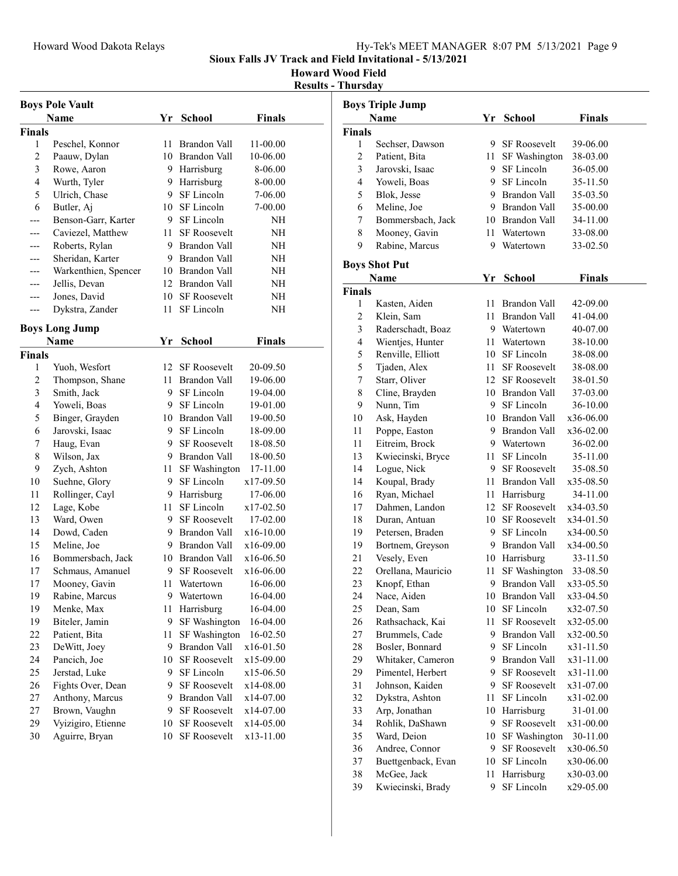Howard Wood Field

Results - Thursday

|                | <b>Boys Pole Vault</b> |    |                     |               |  |
|----------------|------------------------|----|---------------------|---------------|--|
|                | Name                   | Yr | <b>School</b>       | <b>Finals</b> |  |
| <b>Finals</b>  |                        |    |                     |               |  |
| 1              | Peschel, Konnor        | 11 | Brandon Vall        | 11-00.00      |  |
| $\overline{c}$ | Paauw, Dylan           | 10 | <b>Brandon Vall</b> | 10-06.00      |  |
| 3              | Rowe, Aaron            | 9  | Harrisburg          | 8-06.00       |  |
| 4              | Wurth, Tyler           | 9  | Harrisburg          | 8-00.00       |  |
| 5              | Ulrich, Chase          | 9  | SF Lincoln          | 7-06.00       |  |
| 6              | Butler, Aj             | 10 | SF Lincoln          | 7-00.00       |  |
| ---            | Benson-Garr, Karter    | 9. | SF Lincoln          | NΗ            |  |
| ---            | Caviezel, Matthew      | 11 | <b>SF Roosevelt</b> | NΗ            |  |
| ---            | Roberts, Rylan         | 9. | <b>Brandon Vall</b> | NH            |  |
| ---            | Sheridan, Karter       | 9  | Brandon Vall        | NΗ            |  |
| ---            | Warkenthien, Spencer   |    | 10 Brandon Vall     | NH            |  |
| ---            | Jellis, Devan          |    | 12 Brandon Vall     | NH            |  |
| ---            | Jones, David           |    | 10 SF Roosevelt     | NΗ            |  |
| ---            | Dykstra, Zander        | 11 | SF Lincoln          | NΗ            |  |
|                |                        |    |                     |               |  |
|                | <b>Boys Long Jump</b>  |    |                     |               |  |
|                | Name                   | Yr | School              | <b>Finals</b> |  |
| <b>Finals</b>  |                        |    |                     |               |  |
| 1              | Yuoh, Wesfort          | 12 | <b>SF Roosevelt</b> | 20-09.50      |  |
| 2              | Thompson, Shane        | 11 | Brandon Vall        | 19-06.00      |  |
| 3              | Smith, Jack            | 9  | SF Lincoln          | 19-04.00      |  |
| 4              | Yoweli, Boas           | 9. | SF Lincoln          | 19-01.00      |  |
| 5              | Binger, Grayden        | 10 | <b>Brandon Vall</b> | 19-00.50      |  |
| 6              | Jarovski, Isaac        | 9. | SF Lincoln          | 18-09.00      |  |
| 7              | Haug, Evan             | 9. | <b>SF</b> Roosevelt | 18-08.50      |  |
| 8              | Wilson, Jax            | 9. | Brandon Vall        | 18-00.50      |  |
| 9              | Zych, Ashton           | 11 | SF Washington       | 17-11.00      |  |
| 10             | Suehne, Glory          | 9. | SF Lincoln          | x17-09.50     |  |
| 11             | Rollinger, Cayl        | 9. | Harrisburg          | 17-06.00      |  |
| 12             | Lage, Kobe             | 11 | SF Lincoln          | x17-02.50     |  |
| 13             | Ward, Owen             | 9. | SF Roosevelt        | 17-02.00      |  |
| 14             | Dowd, Caden            | 9. | Brandon Vall        | x16-10.00     |  |
| 15             | Meline, Joe            | 9. | <b>Brandon Vall</b> | x16-09.00     |  |
| 16             | Bommersbach, Jack      | 10 | Brandon Vall        | x16-06.50     |  |
| 17             | Schmaus, Amanuel       | 9  | <b>SF Roosevelt</b> | x16-06.00     |  |
| 17             | Mooney, Gavin          | 11 | Watertown           | 16-06.00      |  |
| 19             | Rabine, Marcus         |    | 9 Watertown         | 16-04.00      |  |
| 19             | Menke, Max             | 11 | Harrisburg          | 16-04.00      |  |
| 19             | Biteler, Jamin         | 9  | SF Washington       | 16-04.00      |  |
| 22             | Patient, Bita          | 11 | SF Washington       | 16-02.50      |  |
| 23             | DeWitt, Joey           | 9  | <b>Brandon Vall</b> | x16-01.50     |  |
| 24             | Pancich, Joe           | 10 | <b>SF Roosevelt</b> | x15-09.00     |  |
| 25             | Jerstad, Luke          | 9  | SF Lincoln          | x15-06.50     |  |
| 26             | Fights Over, Dean      | 9  | <b>SF Roosevelt</b> | x14-08.00     |  |
| 27             | Anthony, Marcus        | 9  | Brandon Vall        | x14-07.00     |  |
| 27             | Brown, Vaughn          | 9  | <b>SF Roosevelt</b> | x14-07.00     |  |
| 29             | Vyizigiro, Etienne     | 10 | SF Roosevelt        | x14-05.00     |  |
| 30             | Aguirre, Bryan         | 10 | <b>SF Roosevelt</b> | x13-11.00     |  |

|                | <b>Boys Triple Jump</b> |         |                                   |               |
|----------------|-------------------------|---------|-----------------------------------|---------------|
|                | <b>Name</b>             | Yr      | <b>School</b>                     | <b>Finals</b> |
| <b>Finals</b>  |                         |         |                                   |               |
| 1              | Sechser, Dawson         | 9.      | <b>SF</b> Roosevelt               | 39-06.00      |
| 2              | Patient, Bita           | 11      | SF Washington                     | 38-03.00      |
| 3              | Jarovski, Isaac         | 9       | SF Lincoln                        | 36-05.00      |
| $\overline{4}$ | Yoweli, Boas            | 9       | SF Lincoln                        | 35-11.50      |
| 5              | Blok, Jesse             | 9       | Brandon Vall                      | 35-03.50      |
| 6              | Meline, Joe             | 9.      | <b>Brandon Vall</b>               | 35-00.00      |
| 7              | Bommersbach, Jack       | 10      | Brandon Vall                      | 34-11.00      |
| 8              | Mooney, Gavin           | 11      | Watertown                         | 33-08.00      |
| 9              | Rabine, Marcus          | 9       | Watertown                         | 33-02.50      |
|                | <b>Boys Shot Put</b>    |         |                                   |               |
|                | Name                    | Yr      | <b>School</b>                     | <b>Finals</b> |
| <b>Finals</b>  |                         |         |                                   |               |
| 1              | Kasten, Aiden           | 11      | Brandon Vall                      | 42-09.00      |
| $\overline{c}$ | Klein, Sam              | 11      | Brandon Vall                      | 41-04.00      |
| 3              | Raderschadt, Boaz       |         | 9 Watertown                       | 40-07.00      |
| 4              | Wientjes, Hunter        | 11      | Watertown                         | 38-10.00      |
| 5              | Renville, Elliott       | 10      | SF Lincoln                        | 38-08.00      |
| 5              | Tjaden, Alex            | 11      | <b>SF Roosevelt</b>               | 38-08.00      |
| 7              | Starr, Oliver           | 12      | <b>SF Roosevelt</b>               | 38-01.50      |
| 8              | Cline, Brayden          | 10      | Brandon Vall                      | 37-03.00      |
| 9              | Nunn, Tim               | 9       | SF Lincoln                        | 36-10.00      |
| 10             | Ask, Hayden             | 10      | Brandon Vall                      | x36-06.00     |
| 11             | Poppe, Easton           | 9.      | Brandon Vall                      | x36-02.00     |
| 11             | Eitreim, Brock          |         | 9 Watertown                       | 36-02.00      |
| 13             | Kwiecinski, Bryce       | 11      | SF Lincoln                        | 35-11.00      |
| 14             | Logue, Nick             | 9       | <b>SF Roosevelt</b>               | 35-08.50      |
| 14             | Koupal, Brady           | 11-     | Brandon Vall                      | x35-08.50     |
| 16             | Ryan, Michael           | 11      | Harrisburg                        | 34-11.00      |
| 17             | Dahmen, Landon          | 12      | <b>SF Roosevelt</b>               | x34-03.50     |
| 18             | Duran, Antuan           | 10      | <b>SF Roosevelt</b>               | x34-01.50     |
| 19             | Petersen, Braden        | 9       | SF Lincoln                        | x34-00.50     |
| 19             | Bortnem, Greyson        | 9.      | Brandon Vall                      | x34-00.50     |
| 21             | Vesely, Even            | 10      | Harrisburg                        | 33-11.50      |
| 22             | Orellana, Mauricio      | 11      | SF Washington                     | 33-08.50      |
| 23             | Knopf, Ethan            | 9       | Brandon Vall                      | x33-05.50     |
| 24             | Nace, Aiden             | 10      | Brandon Vall                      | x33-04.50     |
| 25             | Dean, Sam               | 10      | SF Lincoln                        | x32-07.50     |
| 26             | Rathsachack, Kai        | 11      | <b>SF Roosevelt</b>               | x32-05.00     |
| 27             | Brummels, Cade          | 9       | Brandon Vall                      | x32-00.50     |
| 28             | Bosler, Bonnard         | 9       | SF Lincoln                        | x31-11.50     |
| 29             | Whitaker, Cameron       | 9       | Brandon Vall                      | x31-11.00     |
| 29             | Pimentel, Herbert       | 9       | <b>SF Roosevelt</b>               | x31-11.00     |
| 31             | Johnson, Kaiden         | 9       | SF Roosevelt                      | x31-07.00     |
| 32             | Dykstra, Ashton         | 11      | SF Lincoln                        | x31-02.00     |
|                | Arp, Jonathan           |         |                                   |               |
| 33             |                         | 10<br>9 | Harrisburg<br><b>SF Roosevelt</b> | 31-01.00      |
| 34             | Rohlik, DaShawn         |         |                                   | x31-00.00     |
| 35             | Ward, Deion             | 10      | SF Washington                     | 30-11.00      |
| 36             | Andree, Connor          | 9       | <b>SF Roosevelt</b>               | x30-06.50     |
| 37             | Buettgenback, Evan      | 10      | SF Lincoln                        | x30-06.00     |
| 38             | McGee, Jack             | 11      | Harrisburg                        | x30-03.00     |
| 39             | Kwiecinski, Brady       | 9       | SF Lincoln                        | x29-05.00     |